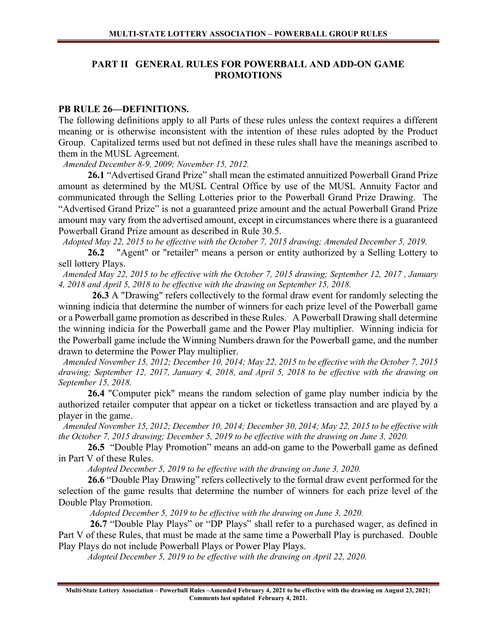# PART II GENERAL RULES FOR POWERBALL AND ADD-ON GAME PROMOTIONS

#### PB RULE 26—DEFINITIONS.

The following definitions apply to all Parts of these rules unless the context requires a different meaning or is otherwise inconsistent with the intention of these rules adopted by the Product Group. Capitalized terms used but not defined in these rules shall have the meanings ascribed to them in the MUSL Agreement.

Amended December 8-9, 2009; November 15, 2012.

 26.1 "Advertised Grand Prize" shall mean the estimated annuitized Powerball Grand Prize amount as determined by the MUSL Central Office by use of the MUSL Annuity Factor and communicated through the Selling Lotteries prior to the Powerball Grand Prize Drawing. The "Advertised Grand Prize" is not a guaranteed prize amount and the actual Powerball Grand Prize amount may vary from the advertised amount, except in circumstances where there is a guaranteed Powerball Grand Prize amount as described in Rule 30.5.

Adopted May 22, 2015 to be effective with the October 7, 2015 drawing; Amended December 5, 2019.

26.2 "Agent" or "retailer" means a person or entity authorized by a Selling Lottery to sell lottery Plays.

 Amended May 22, 2015 to be effective with the October 7, 2015 drawing; September 12, 2017 , January 4, 2018 and April 5, 2018 to be effective with the drawing on September 15, 2018.

26.3 A "Drawing" refers collectively to the formal draw event for randomly selecting the winning indicia that determine the number of winners for each prize level of the Powerball game or a Powerball game promotion as described in these Rules. A Powerball Drawing shall determine the winning indicia for the Powerball game and the Power Play multiplier. Winning indicia for the Powerball game include the Winning Numbers drawn for the Powerball game, and the number drawn to determine the Power Play multiplier.

 Amended November 15, 2012; December 10, 2014; May 22, 2015 to be effective with the October 7, 2015 drawing; September 12, 2017, January 4, 2018, and April 5, 2018 to be effective with the drawing on September 15, 2018.

 26.4 "Computer pick" means the random selection of game play number indicia by the authorized retailer computer that appear on a ticket or ticketless transaction and are played by a player in the game.

 Amended November 15, 2012; December 10, 2014; December 30, 2014; May 22, 2015 to be effective with the October 7, 2015 drawing; December 5, 2019 to be effective with the drawing on June 3, 2020.

 26.5 "Double Play Promotion" means an add-on game to the Powerball game as defined in Part V of these Rules.

Adopted December 5, 2019 to be effective with the drawing on June 3, 2020.

26.6 "Double Play Drawing" refers collectively to the formal draw event performed for the selection of the game results that determine the number of winners for each prize level of the Double Play Promotion.

Adopted December 5, 2019 to be effective with the drawing on June 3, 2020.

 26.7 "Double Play Plays" or "DP Plays" shall refer to a purchased wager, as defined in Part V of these Rules, that must be made at the same time a Powerball Play is purchased. Double Play Plays do not include Powerball Plays or Power Play Plays.

Adopted December 5, 2019 to be effective with the drawing on April 22, 2020.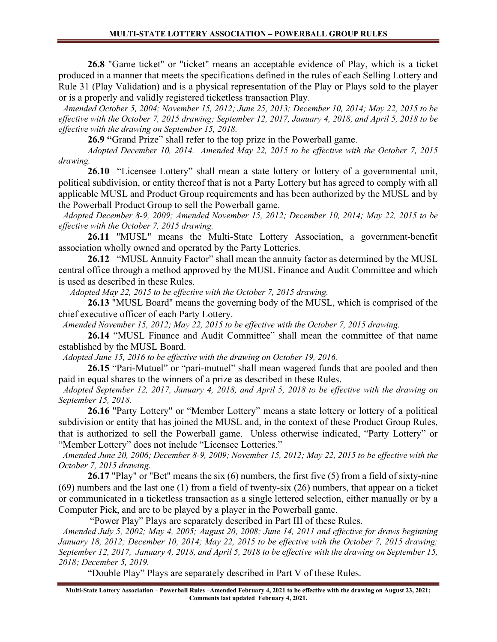26.8 "Game ticket" or "ticket" means an acceptable evidence of Play, which is a ticket produced in a manner that meets the specifications defined in the rules of each Selling Lottery and Rule 31 (Play Validation) and is a physical representation of the Play or Plays sold to the player or is a properly and validly registered ticketless transaction Play.

 Amended October 5, 2004; November 15, 2012; June 25, 2013; December 10, 2014; May 22, 2015 to be effective with the October 7, 2015 drawing; September 12, 2017, January 4, 2018, and April 5, 2018 to be effective with the drawing on September 15, 2018.

26.9 "Grand Prize" shall refer to the top prize in the Powerball game.

Adopted December 10, 2014. Amended May 22, 2015 to be effective with the October 7, 2015 drawing.

26.10 "Licensee Lottery" shall mean a state lottery or lottery of a governmental unit, political subdivision, or entity thereof that is not a Party Lottery but has agreed to comply with all applicable MUSL and Product Group requirements and has been authorized by the MUSL and by the Powerball Product Group to sell the Powerball game.

 Adopted December 8-9, 2009; Amended November 15, 2012; December 10, 2014; May 22, 2015 to be effective with the October 7, 2015 drawing.

 26.11 "MUSL" means the Multi-State Lottery Association, a government-benefit association wholly owned and operated by the Party Lotteries.

26.12 "MUSL Annuity Factor" shall mean the annuity factor as determined by the MUSL central office through a method approved by the MUSL Finance and Audit Committee and which is used as described in these Rules.

Adopted May 22, 2015 to be effective with the October 7, 2015 drawing.

26.13 "MUSL Board" means the governing body of the MUSL, which is comprised of the chief executive officer of each Party Lottery.

Amended November 15, 2012; May 22, 2015 to be effective with the October 7, 2015 drawing.

26.14 "MUSL Finance and Audit Committee" shall mean the committee of that name established by the MUSL Board.

Adopted June 15, 2016 to be effective with the drawing on October 19, 2016.

26.15 "Pari-Mutuel" or "pari-mutuel" shall mean wagered funds that are pooled and then paid in equal shares to the winners of a prize as described in these Rules.

 Adopted September 12, 2017, January 4, 2018, and April 5, 2018 to be effective with the drawing on September 15, 2018.

 26.16 "Party Lottery" or "Member Lottery" means a state lottery or lottery of a political subdivision or entity that has joined the MUSL and, in the context of these Product Group Rules, that is authorized to sell the Powerball game. Unless otherwise indicated, "Party Lottery" or "Member Lottery" does not include "Licensee Lotteries."

 Amended June 20, 2006; December 8-9, 2009; November 15, 2012; May 22, 2015 to be effective with the October 7, 2015 drawing.

26.17 "Play" or "Bet" means the six (6) numbers, the first five (5) from a field of sixty-nine (69) numbers and the last one (1) from a field of twenty-six (26) numbers, that appear on a ticket or communicated in a ticketless transaction as a single lettered selection, either manually or by a Computer Pick, and are to be played by a player in the Powerball game.

"Power Play" Plays are separately described in Part III of these Rules.

 Amended July 5, 2002; May 4, 2005; August 20, 2008; June 14, 2011 and effective for draws beginning January 18, 2012; December 10, 2014; May 22, 2015 to be effective with the October 7, 2015 drawing; September 12, 2017, January 4, 2018, and April 5, 2018 to be effective with the drawing on September 15, 2018; December 5, 2019.

"Double Play" Plays are separately described in Part V of these Rules.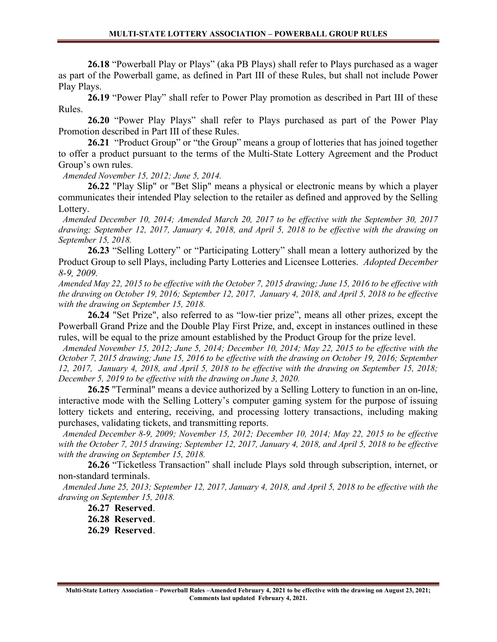26.18 "Powerball Play or Plays" (aka PB Plays) shall refer to Plays purchased as a wager as part of the Powerball game, as defined in Part III of these Rules, but shall not include Power Play Plays.

26.19 "Power Play" shall refer to Power Play promotion as described in Part III of these Rules.

26.20 "Power Play Plays" shall refer to Plays purchased as part of the Power Play Promotion described in Part III of these Rules.

 26.21 "Product Group" or "the Group" means a group of lotteries that has joined together to offer a product pursuant to the terms of the Multi-State Lottery Agreement and the Product Group's own rules.

Amended November 15, 2012; June 5, 2014.

26.22 "Play Slip" or "Bet Slip" means a physical or electronic means by which a player communicates their intended Play selection to the retailer as defined and approved by the Selling Lottery.

 Amended December 10, 2014; Amended March 20, 2017 to be effective with the September 30, 2017 drawing; September 12, 2017, January 4, 2018, and April 5, 2018 to be effective with the drawing on September 15, 2018.

26.23 "Selling Lottery" or "Participating Lottery" shall mean a lottery authorized by the Product Group to sell Plays, including Party Lotteries and Licensee Lotteries. Adopted December 8-9, 2009.

Amended May 22, 2015 to be effective with the October 7, 2015 drawing; June 15, 2016 to be effective with the drawing on October 19, 2016; September 12, 2017, January 4, 2018, and April 5, 2018 to be effective with the drawing on September 15, 2018.

26.24 "Set Prize", also referred to as "low-tier prize", means all other prizes, except the Powerball Grand Prize and the Double Play First Prize, and, except in instances outlined in these rules, will be equal to the prize amount established by the Product Group for the prize level.

 Amended November 15, 2012; June 5, 2014; December 10, 2014; May 22, 2015 to be effective with the October 7, 2015 drawing; June 15, 2016 to be effective with the drawing on October 19, 2016; September 12, 2017, January 4, 2018, and April 5, 2018 to be effective with the drawing on September 15, 2018; December 5, 2019 to be effective with the drawing on June 3, 2020.

 26.25 "Terminal" means a device authorized by a Selling Lottery to function in an on-line, interactive mode with the Selling Lottery's computer gaming system for the purpose of issuing lottery tickets and entering, receiving, and processing lottery transactions, including making purchases, validating tickets, and transmitting reports.

 Amended December 8-9, 2009; November 15, 2012; December 10, 2014; May 22, 2015 to be effective with the October 7, 2015 drawing; September 12, 2017, January 4, 2018, and April 5, 2018 to be effective with the drawing on September 15, 2018.

 26.26 "Ticketless Transaction" shall include Plays sold through subscription, internet, or non-standard terminals.

 Amended June 25, 2013; September 12, 2017, January 4, 2018, and April 5, 2018 to be effective with the drawing on September 15, 2018.

26.27 Reserved.

26.28 Reserved.

26.29 Reserved.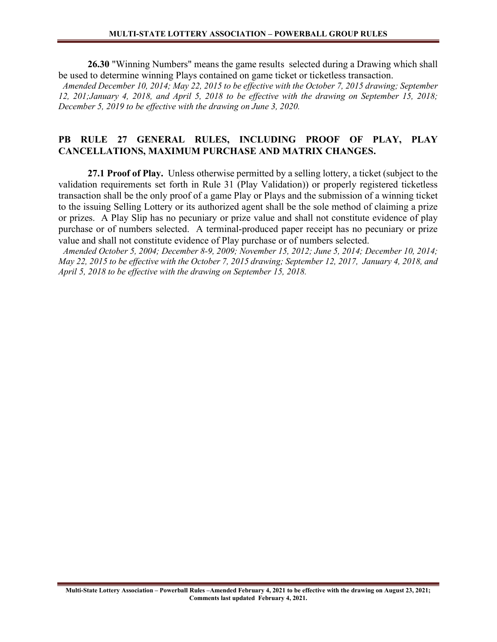26.30 "Winning Numbers" means the game results selected during a Drawing which shall be used to determine winning Plays contained on game ticket or ticketless transaction.

 Amended December 10, 2014; May 22, 2015 to be effective with the October 7, 2015 drawing; September 12, 201;January 4, 2018, and April 5, 2018 to be effective with the drawing on September 15, 2018; December 5, 2019 to be effective with the drawing on June 3, 2020.

#### PB RULE 27 GENERAL RULES, INCLUDING PROOF OF PLAY, PLAY CANCELLATIONS, MAXIMUM PURCHASE AND MATRIX CHANGES.

27.1 Proof of Play. Unless otherwise permitted by a selling lottery, a ticket (subject to the validation requirements set forth in Rule 31 (Play Validation)) or properly registered ticketless transaction shall be the only proof of a game Play or Plays and the submission of a winning ticket to the issuing Selling Lottery or its authorized agent shall be the sole method of claiming a prize or prizes. A Play Slip has no pecuniary or prize value and shall not constitute evidence of play purchase or of numbers selected. A terminal-produced paper receipt has no pecuniary or prize value and shall not constitute evidence of Play purchase or of numbers selected.

 Amended October 5, 2004; December 8-9, 2009; November 15, 2012; June 5, 2014; December 10, 2014; May 22, 2015 to be effective with the October 7, 2015 drawing; September 12, 2017, January 4, 2018, and April 5, 2018 to be effective with the drawing on September 15, 2018.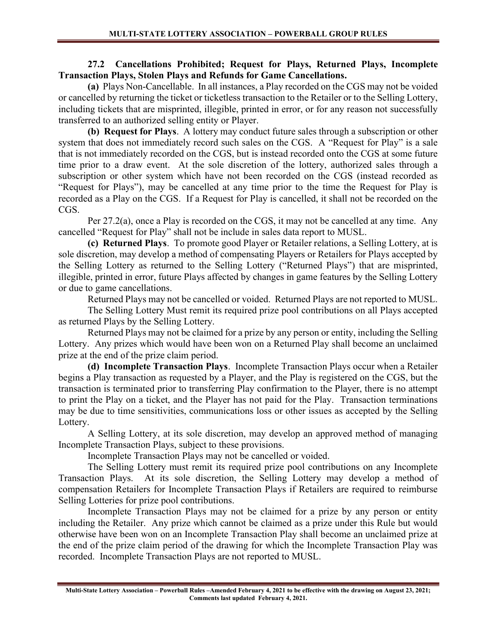#### 27.2 Cancellations Prohibited; Request for Plays, Returned Plays, Incomplete Transaction Plays, Stolen Plays and Refunds for Game Cancellations.

(a) Plays Non-Cancellable. In all instances, a Play recorded on the CGS may not be voided or cancelled by returning the ticket or ticketless transaction to the Retailer or to the Selling Lottery, including tickets that are misprinted, illegible, printed in error, or for any reason not successfully transferred to an authorized selling entity or Player.

(b) Request for Plays. A lottery may conduct future sales through a subscription or other system that does not immediately record such sales on the CGS. A "Request for Play" is a sale that is not immediately recorded on the CGS, but is instead recorded onto the CGS at some future time prior to a draw event. At the sole discretion of the lottery, authorized sales through a subscription or other system which have not been recorded on the CGS (instead recorded as "Request for Plays"), may be cancelled at any time prior to the time the Request for Play is recorded as a Play on the CGS. If a Request for Play is cancelled, it shall not be recorded on the CGS.

Per 27.2(a), once a Play is recorded on the CGS, it may not be cancelled at any time. Any cancelled "Request for Play" shall not be include in sales data report to MUSL.

(c) Returned Plays. To promote good Player or Retailer relations, a Selling Lottery, at is sole discretion, may develop a method of compensating Players or Retailers for Plays accepted by the Selling Lottery as returned to the Selling Lottery ("Returned Plays") that are misprinted, illegible, printed in error, future Plays affected by changes in game features by the Selling Lottery or due to game cancellations.

Returned Plays may not be cancelled or voided. Returned Plays are not reported to MUSL.

 The Selling Lottery Must remit its required prize pool contributions on all Plays accepted as returned Plays by the Selling Lottery.

 Returned Plays may not be claimed for a prize by any person or entity, including the Selling Lottery. Any prizes which would have been won on a Returned Play shall become an unclaimed prize at the end of the prize claim period.

(d) Incomplete Transaction Plays. Incomplete Transaction Plays occur when a Retailer begins a Play transaction as requested by a Player, and the Play is registered on the CGS, but the transaction is terminated prior to transferring Play confirmation to the Player, there is no attempt to print the Play on a ticket, and the Player has not paid for the Play. Transaction terminations may be due to time sensitivities, communications loss or other issues as accepted by the Selling Lottery.

 A Selling Lottery, at its sole discretion, may develop an approved method of managing Incomplete Transaction Plays, subject to these provisions.

Incomplete Transaction Plays may not be cancelled or voided.

 The Selling Lottery must remit its required prize pool contributions on any Incomplete Transaction Plays. At its sole discretion, the Selling Lottery may develop a method of compensation Retailers for Incomplete Transaction Plays if Retailers are required to reimburse Selling Lotteries for prize pool contributions.

 Incomplete Transaction Plays may not be claimed for a prize by any person or entity including the Retailer. Any prize which cannot be claimed as a prize under this Rule but would otherwise have been won on an Incomplete Transaction Play shall become an unclaimed prize at the end of the prize claim period of the drawing for which the Incomplete Transaction Play was recorded. Incomplete Transaction Plays are not reported to MUSL.

Multi-State Lottery Association – Powerball Rules –Amended February 4, 2021 to be effective with the drawing on August 23, 2021; Comments last updated February 4, 2021.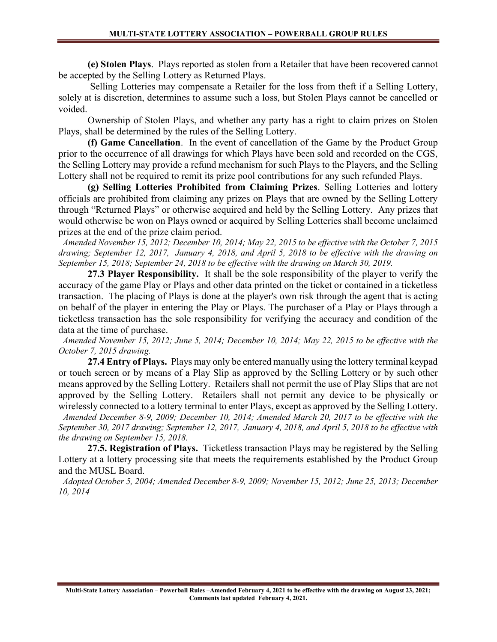(e) Stolen Plays. Plays reported as stolen from a Retailer that have been recovered cannot be accepted by the Selling Lottery as Returned Plays.

 Selling Lotteries may compensate a Retailer for the loss from theft if a Selling Lottery, solely at is discretion, determines to assume such a loss, but Stolen Plays cannot be cancelled or voided.

 Ownership of Stolen Plays, and whether any party has a right to claim prizes on Stolen Plays, shall be determined by the rules of the Selling Lottery.

(f) Game Cancellation. In the event of cancellation of the Game by the Product Group prior to the occurrence of all drawings for which Plays have been sold and recorded on the CGS, the Selling Lottery may provide a refund mechanism for such Plays to the Players, and the Selling Lottery shall not be required to remit its prize pool contributions for any such refunded Plays.

(g) Selling Lotteries Prohibited from Claiming Prizes. Selling Lotteries and lottery officials are prohibited from claiming any prizes on Plays that are owned by the Selling Lottery through "Returned Plays" or otherwise acquired and held by the Selling Lottery. Any prizes that would otherwise be won on Plays owned or acquired by Selling Lotteries shall become unclaimed prizes at the end of the prize claim period.

 Amended November 15, 2012; December 10, 2014; May 22, 2015 to be effective with the October 7, 2015 drawing; September 12, 2017, January 4, 2018, and April 5, 2018 to be effective with the drawing on September 15, 2018; September 24, 2018 to be effective with the drawing on March 30, 2019.

27.3 Player Responsibility. It shall be the sole responsibility of the player to verify the accuracy of the game Play or Plays and other data printed on the ticket or contained in a ticketless transaction. The placing of Plays is done at the player's own risk through the agent that is acting on behalf of the player in entering the Play or Plays. The purchaser of a Play or Plays through a ticketless transaction has the sole responsibility for verifying the accuracy and condition of the data at the time of purchase.

 Amended November 15, 2012; June 5, 2014; December 10, 2014; May 22, 2015 to be effective with the October 7, 2015 drawing.

27.4 Entry of Plays. Plays may only be entered manually using the lottery terminal keypad or touch screen or by means of a Play Slip as approved by the Selling Lottery or by such other means approved by the Selling Lottery. Retailers shall not permit the use of Play Slips that are not approved by the Selling Lottery. Retailers shall not permit any device to be physically or wirelessly connected to a lottery terminal to enter Plays, except as approved by the Selling Lottery.

 Amended December 8-9, 2009; December 10, 2014; Amended March 20, 2017 to be effective with the September 30, 2017 drawing; September 12, 2017, January 4, 2018, and April 5, 2018 to be effective with the drawing on September 15, 2018.

27.5. Registration of Plays. Ticketless transaction Plays may be registered by the Selling Lottery at a lottery processing site that meets the requirements established by the Product Group and the MUSL Board.

 Adopted October 5, 2004; Amended December 8-9, 2009; November 15, 2012; June 25, 2013; December 10, 2014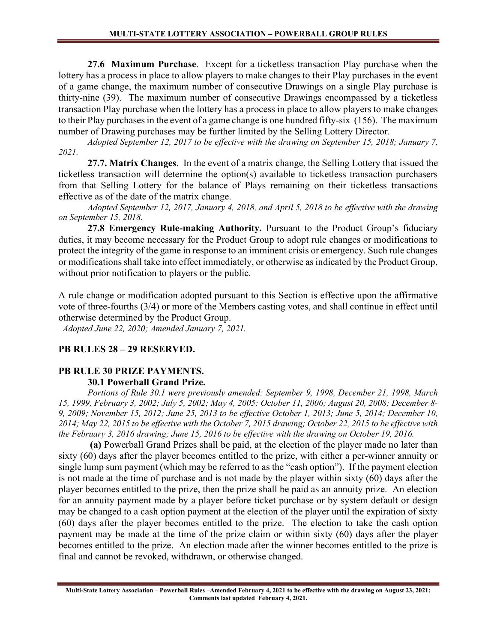27.6 Maximum Purchase. Except for a ticketless transaction Play purchase when the lottery has a process in place to allow players to make changes to their Play purchases in the event of a game change, the maximum number of consecutive Drawings on a single Play purchase is thirty-nine (39). The maximum number of consecutive Drawings encompassed by a ticketless transaction Play purchase when the lottery has a process in place to allow players to make changes to their Play purchases in the event of a game change is one hundred fifty-six (156). The maximum number of Drawing purchases may be further limited by the Selling Lottery Director.

Adopted September 12, 2017 to be effective with the drawing on September 15, 2018; January 7, 2021.

27.7. Matrix Changes. In the event of a matrix change, the Selling Lottery that issued the ticketless transaction will determine the option(s) available to ticketless transaction purchasers from that Selling Lottery for the balance of Plays remaining on their ticketless transactions effective as of the date of the matrix change.

Adopted September 12, 2017, January 4, 2018, and April 5, 2018 to be effective with the drawing on September 15, 2018.

27.8 Emergency Rule-making Authority. Pursuant to the Product Group's fiduciary duties, it may become necessary for the Product Group to adopt rule changes or modifications to protect the integrity of the game in response to an imminent crisis or emergency. Such rule changes or modifications shall take into effect immediately, or otherwise as indicated by the Product Group, without prior notification to players or the public.

A rule change or modification adopted pursuant to this Section is effective upon the affirmative vote of three-fourths (3/4) or more of the Members casting votes, and shall continue in effect until otherwise determined by the Product Group.

Adopted June 22, 2020; Amended January 7, 2021.

# PB RULES 28 – 29 RESERVED.

#### PB RULE 30 PRIZE PAYMENTS. 30.1 Powerball Grand Prize.

#### Portions of Rule 30.1 were previously amended: September 9, 1998, December 21, 1998, March 15, 1999, February 3, 2002; July 5, 2002; May 4, 2005; October 11, 2006; August 20, 2008; December 8- 9, 2009; November 15, 2012; June 25, 2013 to be effective October 1, 2013; June 5, 2014; December 10, 2014; May 22, 2015 to be effective with the October 7, 2015 drawing; October 22, 2015 to be effective with the February 3, 2016 drawing; June 15, 2016 to be effective with the drawing on October 19, 2016.

 (a) Powerball Grand Prizes shall be paid, at the election of the player made no later than sixty (60) days after the player becomes entitled to the prize, with either a per-winner annuity or single lump sum payment (which may be referred to as the "cash option"). If the payment election is not made at the time of purchase and is not made by the player within sixty (60) days after the player becomes entitled to the prize, then the prize shall be paid as an annuity prize. An election for an annuity payment made by a player before ticket purchase or by system default or design may be changed to a cash option payment at the election of the player until the expiration of sixty (60) days after the player becomes entitled to the prize. The election to take the cash option payment may be made at the time of the prize claim or within sixty (60) days after the player becomes entitled to the prize. An election made after the winner becomes entitled to the prize is final and cannot be revoked, withdrawn, or otherwise changed.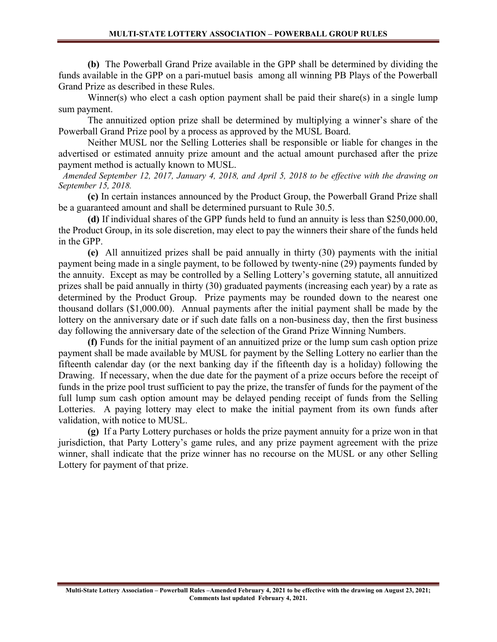(b) The Powerball Grand Prize available in the GPP shall be determined by dividing the funds available in the GPP on a pari-mutuel basis among all winning PB Plays of the Powerball Grand Prize as described in these Rules.

 Winner(s) who elect a cash option payment shall be paid their share(s) in a single lump sum payment.

 The annuitized option prize shall be determined by multiplying a winner's share of the Powerball Grand Prize pool by a process as approved by the MUSL Board.

 Neither MUSL nor the Selling Lotteries shall be responsible or liable for changes in the advertised or estimated annuity prize amount and the actual amount purchased after the prize payment method is actually known to MUSL.

 Amended September 12, 2017, January 4, 2018, and April 5, 2018 to be effective with the drawing on September 15, 2018.

(c) In certain instances announced by the Product Group, the Powerball Grand Prize shall be a guaranteed amount and shall be determined pursuant to Rule 30.5.

(d) If individual shares of the GPP funds held to fund an annuity is less than \$250,000.00, the Product Group, in its sole discretion, may elect to pay the winners their share of the funds held in the GPP.

(e) All annuitized prizes shall be paid annually in thirty (30) payments with the initial payment being made in a single payment, to be followed by twenty-nine (29) payments funded by the annuity. Except as may be controlled by a Selling Lottery's governing statute, all annuitized prizes shall be paid annually in thirty (30) graduated payments (increasing each year) by a rate as determined by the Product Group. Prize payments may be rounded down to the nearest one thousand dollars (\$1,000.00). Annual payments after the initial payment shall be made by the lottery on the anniversary date or if such date falls on a non-business day, then the first business day following the anniversary date of the selection of the Grand Prize Winning Numbers.

(f) Funds for the initial payment of an annuitized prize or the lump sum cash option prize payment shall be made available by MUSL for payment by the Selling Lottery no earlier than the fifteenth calendar day (or the next banking day if the fifteenth day is a holiday) following the Drawing. If necessary, when the due date for the payment of a prize occurs before the receipt of funds in the prize pool trust sufficient to pay the prize, the transfer of funds for the payment of the full lump sum cash option amount may be delayed pending receipt of funds from the Selling Lotteries. A paying lottery may elect to make the initial payment from its own funds after validation, with notice to MUSL.

(g) If a Party Lottery purchases or holds the prize payment annuity for a prize won in that jurisdiction, that Party Lottery's game rules, and any prize payment agreement with the prize winner, shall indicate that the prize winner has no recourse on the MUSL or any other Selling Lottery for payment of that prize.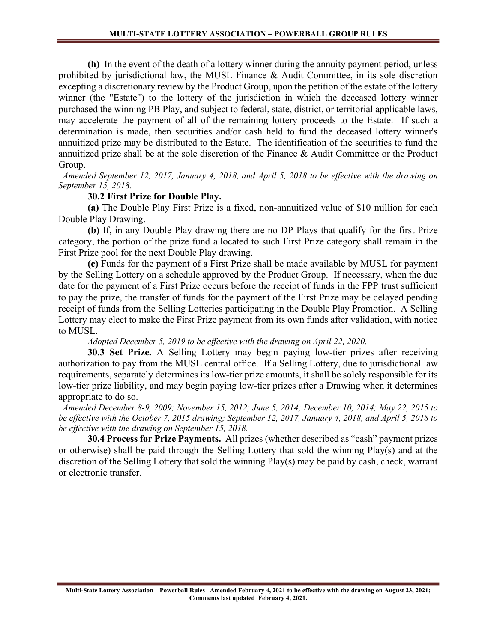(h) In the event of the death of a lottery winner during the annuity payment period, unless prohibited by jurisdictional law, the MUSL Finance & Audit Committee, in its sole discretion excepting a discretionary review by the Product Group, upon the petition of the estate of the lottery winner (the "Estate") to the lottery of the jurisdiction in which the deceased lottery winner purchased the winning PB Play, and subject to federal, state, district, or territorial applicable laws, may accelerate the payment of all of the remaining lottery proceeds to the Estate. If such a determination is made, then securities and/or cash held to fund the deceased lottery winner's annuitized prize may be distributed to the Estate. The identification of the securities to fund the annuitized prize shall be at the sole discretion of the Finance & Audit Committee or the Product Group.

 Amended September 12, 2017, January 4, 2018, and April 5, 2018 to be effective with the drawing on September 15, 2018.

#### 30.2 First Prize for Double Play.

 (a) The Double Play First Prize is a fixed, non-annuitized value of \$10 million for each Double Play Drawing.

 (b) If, in any Double Play drawing there are no DP Plays that qualify for the first Prize category, the portion of the prize fund allocated to such First Prize category shall remain in the First Prize pool for the next Double Play drawing.

(c) Funds for the payment of a First Prize shall be made available by MUSL for payment by the Selling Lottery on a schedule approved by the Product Group. If necessary, when the due date for the payment of a First Prize occurs before the receipt of funds in the FPP trust sufficient to pay the prize, the transfer of funds for the payment of the First Prize may be delayed pending receipt of funds from the Selling Lotteries participating in the Double Play Promotion. A Selling Lottery may elect to make the First Prize payment from its own funds after validation, with notice to MUSL.

Adopted December 5, 2019 to be effective with the drawing on April 22, 2020.

30.3 Set Prize. A Selling Lottery may begin paying low-tier prizes after receiving authorization to pay from the MUSL central office. If a Selling Lottery, due to jurisdictional law requirements, separately determines its low-tier prize amounts, it shall be solely responsible for its low-tier prize liability, and may begin paying low-tier prizes after a Drawing when it determines appropriate to do so.

 Amended December 8-9, 2009; November 15, 2012; June 5, 2014; December 10, 2014; May 22, 2015 to be effective with the October 7, 2015 drawing; September 12, 2017, January 4, 2018, and April 5, 2018 to be effective with the drawing on September 15, 2018.

30.4 Process for Prize Payments. All prizes (whether described as "cash" payment prizes or otherwise) shall be paid through the Selling Lottery that sold the winning Play(s) and at the discretion of the Selling Lottery that sold the winning Play(s) may be paid by cash, check, warrant or electronic transfer.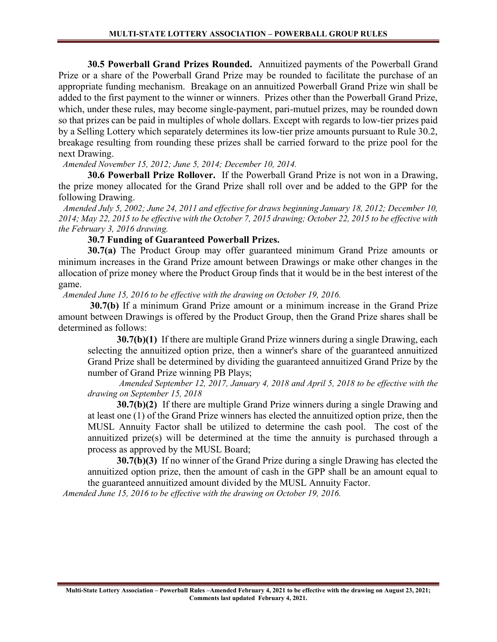30.5 Powerball Grand Prizes Rounded. Annuitized payments of the Powerball Grand Prize or a share of the Powerball Grand Prize may be rounded to facilitate the purchase of an appropriate funding mechanism. Breakage on an annuitized Powerball Grand Prize win shall be added to the first payment to the winner or winners. Prizes other than the Powerball Grand Prize, which, under these rules, may become single-payment, pari-mutuel prizes, may be rounded down so that prizes can be paid in multiples of whole dollars. Except with regards to low-tier prizes paid by a Selling Lottery which separately determines its low-tier prize amounts pursuant to Rule 30.2, breakage resulting from rounding these prizes shall be carried forward to the prize pool for the next Drawing.

Amended November 15, 2012; June 5, 2014; December 10, 2014.

 30.6 Powerball Prize Rollover. If the Powerball Grand Prize is not won in a Drawing, the prize money allocated for the Grand Prize shall roll over and be added to the GPP for the following Drawing.

 Amended July 5, 2002; June 24, 2011 and effective for draws beginning January 18, 2012; December 10, 2014; May 22, 2015 to be effective with the October 7, 2015 drawing; October 22, 2015 to be effective with the February 3, 2016 drawing.

#### 30.7 Funding of Guaranteed Powerball Prizes.

30.7(a) The Product Group may offer guaranteed minimum Grand Prize amounts or minimum increases in the Grand Prize amount between Drawings or make other changes in the allocation of prize money where the Product Group finds that it would be in the best interest of the game.

Amended June 15, 2016 to be effective with the drawing on October 19, 2016.

30.7(b) If a minimum Grand Prize amount or a minimum increase in the Grand Prize amount between Drawings is offered by the Product Group, then the Grand Prize shares shall be determined as follows:

30.7(b)(1) If there are multiple Grand Prize winners during a single Drawing, each selecting the annuitized option prize, then a winner's share of the guaranteed annuitized Grand Prize shall be determined by dividing the guaranteed annuitized Grand Prize by the number of Grand Prize winning PB Plays;

Amended September 12, 2017, January 4, 2018 and April 5, 2018 to be effective with the drawing on September 15, 2018

30.7(b)(2) If there are multiple Grand Prize winners during a single Drawing and at least one (1) of the Grand Prize winners has elected the annuitized option prize, then the MUSL Annuity Factor shall be utilized to determine the cash pool. The cost of the annuitized prize(s) will be determined at the time the annuity is purchased through a process as approved by the MUSL Board;

30.7(b)(3) If no winner of the Grand Prize during a single Drawing has elected the annuitized option prize, then the amount of cash in the GPP shall be an amount equal to the guaranteed annuitized amount divided by the MUSL Annuity Factor.

Amended June 15, 2016 to be effective with the drawing on October 19, 2016.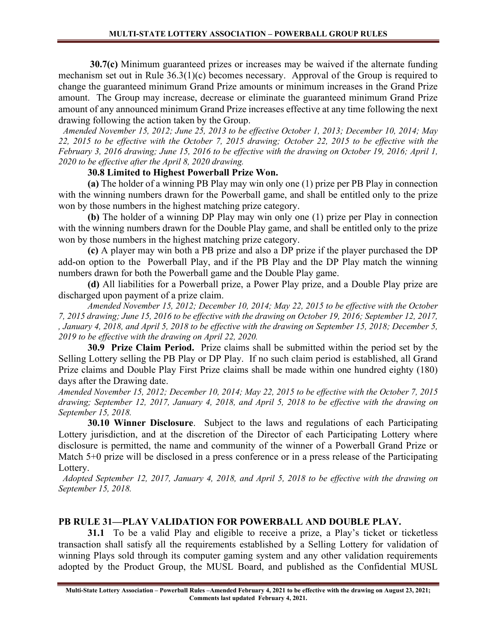30.7(c) Minimum guaranteed prizes or increases may be waived if the alternate funding mechanism set out in Rule 36.3(1)(c) becomes necessary. Approval of the Group is required to change the guaranteed minimum Grand Prize amounts or minimum increases in the Grand Prize amount. The Group may increase, decrease or eliminate the guaranteed minimum Grand Prize amount of any announced minimum Grand Prize increases effective at any time following the next drawing following the action taken by the Group.

 Amended November 15, 2012; June 25, 2013 to be effective October 1, 2013; December 10, 2014; May 22, 2015 to be effective with the October 7, 2015 drawing; October 22, 2015 to be effective with the February 3, 2016 drawing; June 15, 2016 to be effective with the drawing on October 19, 2016; April 1, 2020 to be effective after the April 8, 2020 drawing.

#### 30.8 Limited to Highest Powerball Prize Won.

(a) The holder of a winning PB Play may win only one (1) prize per PB Play in connection with the winning numbers drawn for the Powerball game, and shall be entitled only to the prize won by those numbers in the highest matching prize category.

(b) The holder of a winning DP Play may win only one (1) prize per Play in connection with the winning numbers drawn for the Double Play game, and shall be entitled only to the prize won by those numbers in the highest matching prize category.

(c) A player may win both a PB prize and also a DP prize if the player purchased the DP add-on option to the Powerball Play, and if the PB Play and the DP Play match the winning numbers drawn for both the Powerball game and the Double Play game.

(d) All liabilities for a Powerball prize, a Power Play prize, and a Double Play prize are discharged upon payment of a prize claim.

Amended November 15, 2012; December 10, 2014; May 22, 2015 to be effective with the October 7, 2015 drawing; June 15, 2016 to be effective with the drawing on October 19, 2016; September 12, 2017, , January 4, 2018, and April 5, 2018 to be effective with the drawing on September 15, 2018; December 5, 2019 to be effective with the drawing on April 22, 2020.

 30.9 Prize Claim Period. Prize claims shall be submitted within the period set by the Selling Lottery selling the PB Play or DP Play. If no such claim period is established, all Grand Prize claims and Double Play First Prize claims shall be made within one hundred eighty (180) days after the Drawing date.

Amended November 15, 2012; December 10, 2014; May 22, 2015 to be effective with the October 7, 2015 drawing; September 12, 2017, January 4, 2018, and April 5, 2018 to be effective with the drawing on September 15, 2018.

30.10 Winner Disclosure. Subject to the laws and regulations of each Participating Lottery jurisdiction, and at the discretion of the Director of each Participating Lottery where disclosure is permitted, the name and community of the winner of a Powerball Grand Prize or Match 5+0 prize will be disclosed in a press conference or in a press release of the Participating Lottery.

 Adopted September 12, 2017, January 4, 2018, and April 5, 2018 to be effective with the drawing on September 15, 2018.

# PB RULE 31—PLAY VALIDATION FOR POWERBALL AND DOUBLE PLAY.

31.1 To be a valid Play and eligible to receive a prize, a Play's ticket or ticketless transaction shall satisfy all the requirements established by a Selling Lottery for validation of winning Plays sold through its computer gaming system and any other validation requirements adopted by the Product Group, the MUSL Board, and published as the Confidential MUSL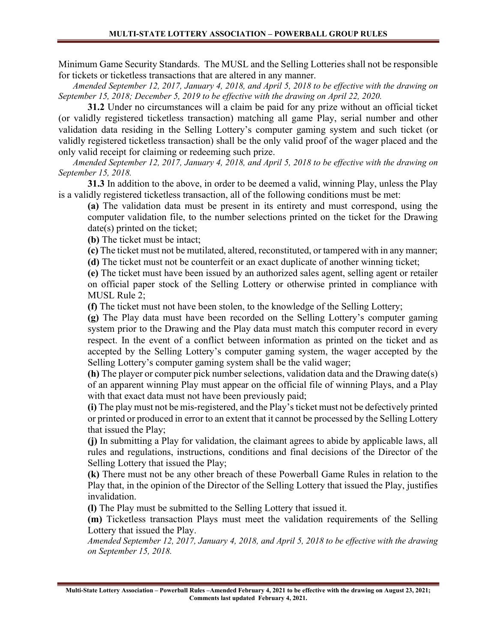Minimum Game Security Standards. The MUSL and the Selling Lotteries shall not be responsible for tickets or ticketless transactions that are altered in any manner.

Amended September 12, 2017, January 4, 2018, and April 5, 2018 to be effective with the drawing on September 15, 2018; December 5, 2019 to be effective with the drawing on April 22, 2020.

31.2 Under no circumstances will a claim be paid for any prize without an official ticket (or validly registered ticketless transaction) matching all game Play, serial number and other validation data residing in the Selling Lottery's computer gaming system and such ticket (or validly registered ticketless transaction) shall be the only valid proof of the wager placed and the only valid receipt for claiming or redeeming such prize.

Amended September 12, 2017, January 4, 2018, and April 5, 2018 to be effective with the drawing on September 15, 2018.

 31.3 In addition to the above, in order to be deemed a valid, winning Play, unless the Play is a validly registered ticketless transaction, all of the following conditions must be met:

(a) The validation data must be present in its entirety and must correspond, using the computer validation file, to the number selections printed on the ticket for the Drawing date(s) printed on the ticket:

(b) The ticket must be intact;

(c) The ticket must not be mutilated, altered, reconstituted, or tampered with in any manner;

(d) The ticket must not be counterfeit or an exact duplicate of another winning ticket;

(e) The ticket must have been issued by an authorized sales agent, selling agent or retailer on official paper stock of the Selling Lottery or otherwise printed in compliance with MUSL Rule 2;

(f) The ticket must not have been stolen, to the knowledge of the Selling Lottery;

(g) The Play data must have been recorded on the Selling Lottery's computer gaming system prior to the Drawing and the Play data must match this computer record in every respect. In the event of a conflict between information as printed on the ticket and as accepted by the Selling Lottery's computer gaming system, the wager accepted by the Selling Lottery's computer gaming system shall be the valid wager;

(h) The player or computer pick number selections, validation data and the Drawing date(s) of an apparent winning Play must appear on the official file of winning Plays, and a Play with that exact data must not have been previously paid;

(i) The play must not be mis-registered, and the Play's ticket must not be defectively printed or printed or produced in error to an extent that it cannot be processed by the Selling Lottery that issued the Play;

(j) In submitting a Play for validation, the claimant agrees to abide by applicable laws, all rules and regulations, instructions, conditions and final decisions of the Director of the Selling Lottery that issued the Play;

(k) There must not be any other breach of these Powerball Game Rules in relation to the Play that, in the opinion of the Director of the Selling Lottery that issued the Play, justifies invalidation.

(l) The Play must be submitted to the Selling Lottery that issued it.

(m) Ticketless transaction Plays must meet the validation requirements of the Selling Lottery that issued the Play.

Amended September 12, 2017, January 4, 2018, and April 5, 2018 to be effective with the drawing on September 15, 2018.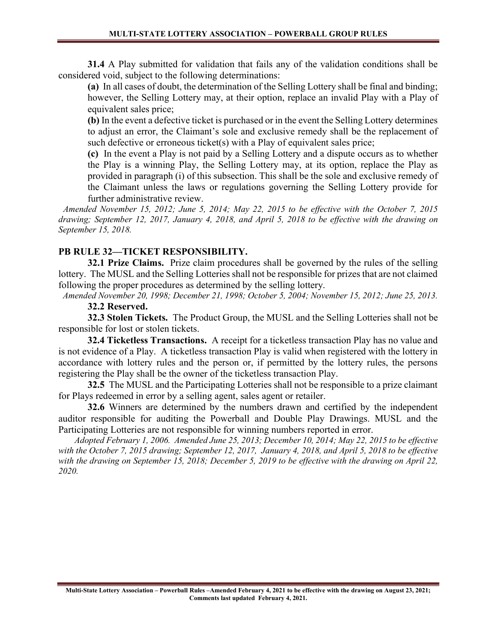31.4 A Play submitted for validation that fails any of the validation conditions shall be considered void, subject to the following determinations:

(a) In all cases of doubt, the determination of the Selling Lottery shall be final and binding; however, the Selling Lottery may, at their option, replace an invalid Play with a Play of equivalent sales price;

(b) In the event a defective ticket is purchased or in the event the Selling Lottery determines to adjust an error, the Claimant's sole and exclusive remedy shall be the replacement of such defective or erroneous ticket(s) with a Play of equivalent sales price;

(c) In the event a Play is not paid by a Selling Lottery and a dispute occurs as to whether the Play is a winning Play, the Selling Lottery may, at its option, replace the Play as provided in paragraph (i) of this subsection. This shall be the sole and exclusive remedy of the Claimant unless the laws or regulations governing the Selling Lottery provide for further administrative review.

 Amended November 15, 2012; June 5, 2014; May 22, 2015 to be effective with the October 7, 2015 drawing; September 12, 2017, January 4, 2018, and April 5, 2018 to be effective with the drawing on September 15, 2018.

# PB RULE 32—TICKET RESPONSIBILITY.

32.1 Prize Claims. Prize claim procedures shall be governed by the rules of the selling lottery. The MUSL and the Selling Lotteries shall not be responsible for prizes that are not claimed following the proper procedures as determined by the selling lottery.

 Amended November 20, 1998; December 21, 1998; October 5, 2004; November 15, 2012; June 25, 2013. 32.2 Reserved.

 32.3 Stolen Tickets. The Product Group, the MUSL and the Selling Lotteries shall not be responsible for lost or stolen tickets.

 32.4 Ticketless Transactions. A receipt for a ticketless transaction Play has no value and is not evidence of a Play. A ticketless transaction Play is valid when registered with the lottery in accordance with lottery rules and the person or, if permitted by the lottery rules, the persons registering the Play shall be the owner of the ticketless transaction Play.

32.5 The MUSL and the Participating Lotteries shall not be responsible to a prize claimant for Plays redeemed in error by a selling agent, sales agent or retailer.

32.6 Winners are determined by the numbers drawn and certified by the independent auditor responsible for auditing the Powerball and Double Play Drawings. MUSL and the Participating Lotteries are not responsible for winning numbers reported in error.

 Adopted February 1, 2006. Amended June 25, 2013; December 10, 2014; May 22, 2015 to be effective with the October 7, 2015 drawing; September 12, 2017, January 4, 2018, and April 5, 2018 to be effective with the drawing on September 15, 2018; December 5, 2019 to be effective with the drawing on April 22, 2020.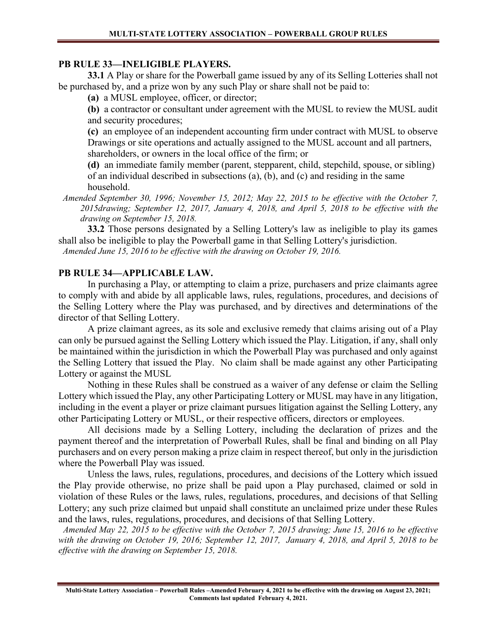#### PB RULE 33—INELIGIBLE PLAYERS.

33.1 A Play or share for the Powerball game issued by any of its Selling Lotteries shall not be purchased by, and a prize won by any such Play or share shall not be paid to:

(a) a MUSL employee, officer, or director;

(b) a contractor or consultant under agreement with the MUSL to review the MUSL audit and security procedures;

(c) an employee of an independent accounting firm under contract with MUSL to observe Drawings or site operations and actually assigned to the MUSL account and all partners, shareholders, or owners in the local office of the firm; or

(d) an immediate family member (parent, stepparent, child, stepchild, spouse, or sibling) of an individual described in subsections (a), (b), and (c) and residing in the same household.

 Amended September 30, 1996; November 15, 2012; May 22, 2015 to be effective with the October 7, 2015drawing; September 12, 2017, January 4, 2018, and April 5, 2018 to be effective with the drawing on September 15, 2018.

 33.2 Those persons designated by a Selling Lottery's law as ineligible to play its games shall also be ineligible to play the Powerball game in that Selling Lottery's jurisdiction. Amended June 15, 2016 to be effective with the drawing on October 19, 2016.

#### PB RULE 34—APPLICABLE LAW.

In purchasing a Play, or attempting to claim a prize, purchasers and prize claimants agree to comply with and abide by all applicable laws, rules, regulations, procedures, and decisions of the Selling Lottery where the Play was purchased, and by directives and determinations of the director of that Selling Lottery.

A prize claimant agrees, as its sole and exclusive remedy that claims arising out of a Play can only be pursued against the Selling Lottery which issued the Play. Litigation, if any, shall only be maintained within the jurisdiction in which the Powerball Play was purchased and only against the Selling Lottery that issued the Play. No claim shall be made against any other Participating Lottery or against the MUSL

Nothing in these Rules shall be construed as a waiver of any defense or claim the Selling Lottery which issued the Play, any other Participating Lottery or MUSL may have in any litigation, including in the event a player or prize claimant pursues litigation against the Selling Lottery, any other Participating Lottery or MUSL, or their respective officers, directors or employees.

All decisions made by a Selling Lottery, including the declaration of prizes and the payment thereof and the interpretation of Powerball Rules, shall be final and binding on all Play purchasers and on every person making a prize claim in respect thereof, but only in the jurisdiction where the Powerball Play was issued.

Unless the laws, rules, regulations, procedures, and decisions of the Lottery which issued the Play provide otherwise, no prize shall be paid upon a Play purchased, claimed or sold in violation of these Rules or the laws, rules, regulations, procedures, and decisions of that Selling Lottery; any such prize claimed but unpaid shall constitute an unclaimed prize under these Rules and the laws, rules, regulations, procedures, and decisions of that Selling Lottery.

 Amended May 22, 2015 to be effective with the October 7, 2015 drawing; June 15, 2016 to be effective with the drawing on October 19, 2016; September 12, 2017, January 4, 2018, and April 5, 2018 to be effective with the drawing on September 15, 2018.

Multi-State Lottery Association – Powerball Rules –Amended February 4, 2021 to be effective with the drawing on August 23, 2021; Comments last updated February 4, 2021.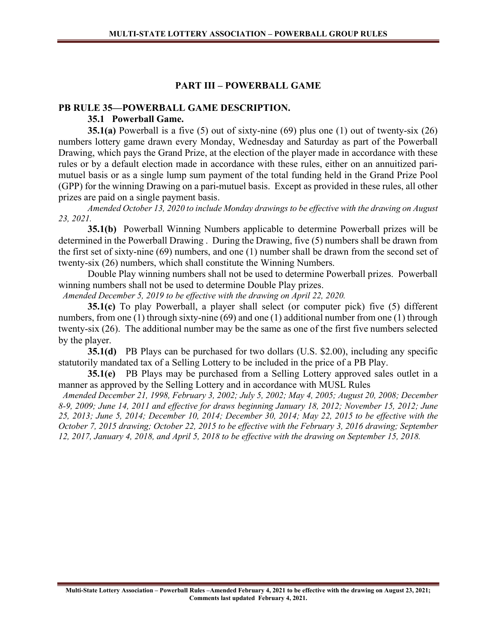#### PART III – POWERBALL GAME

# PB RULE 35—POWERBALL GAME DESCRIPTION.

35.1 Powerball Game.

**35.1(a)** Powerball is a five (5) out of sixty-nine (69) plus one (1) out of twenty-six (26) numbers lottery game drawn every Monday, Wednesday and Saturday as part of the Powerball Drawing, which pays the Grand Prize, at the election of the player made in accordance with these rules or by a default election made in accordance with these rules, either on an annuitized parimutuel basis or as a single lump sum payment of the total funding held in the Grand Prize Pool (GPP) for the winning Drawing on a pari-mutuel basis. Except as provided in these rules, all other prizes are paid on a single payment basis.

Amended October 13, 2020 to include Monday drawings to be effective with the drawing on August 23, 2021.

35.1(b) Powerball Winning Numbers applicable to determine Powerball prizes will be determined in the Powerball Drawing . During the Drawing, five (5) numbers shall be drawn from the first set of sixty-nine (69) numbers, and one (1) number shall be drawn from the second set of twenty-six (26) numbers, which shall constitute the Winning Numbers.

Double Play winning numbers shall not be used to determine Powerball prizes. Powerball winning numbers shall not be used to determine Double Play prizes.

Amended December 5, 2019 to be effective with the drawing on April 22, 2020.

35.1(c) To play Powerball, a player shall select (or computer pick) five (5) different numbers, from one (1) through sixty-nine (69) and one (1) additional number from one (1) through twenty-six (26). The additional number may be the same as one of the first five numbers selected by the player.

35.1(d) PB Plays can be purchased for two dollars (U.S. \$2.00), including any specific statutorily mandated tax of a Selling Lottery to be included in the price of a PB Play.

 $35.1(e)$  PB Plays may be purchased from a Selling Lottery approved sales outlet in a manner as approved by the Selling Lottery and in accordance with MUSL Rules

 Amended December 21, 1998, February 3, 2002; July 5, 2002; May 4, 2005; August 20, 2008; December 8-9, 2009; June 14, 2011 and effective for draws beginning January 18, 2012; November 15, 2012; June 25, 2013; June 5, 2014; December 10, 2014; December 30, 2014; May 22, 2015 to be effective with the October 7, 2015 drawing; October 22, 2015 to be effective with the February 3, 2016 drawing; September 12, 2017, January 4, 2018, and April 5, 2018 to be effective with the drawing on September 15, 2018.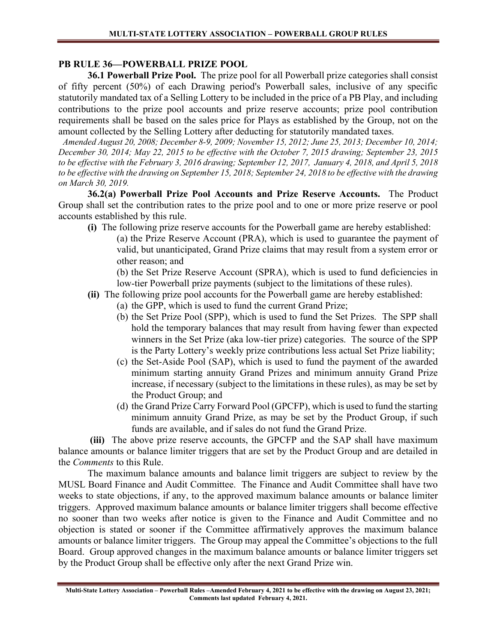# PB RULE 36—POWERBALL PRIZE POOL

 36.1 Powerball Prize Pool. The prize pool for all Powerball prize categories shall consist of fifty percent (50%) of each Drawing period's Powerball sales, inclusive of any specific statutorily mandated tax of a Selling Lottery to be included in the price of a PB Play, and including contributions to the prize pool accounts and prize reserve accounts; prize pool contribution requirements shall be based on the sales price for Plays as established by the Group, not on the amount collected by the Selling Lottery after deducting for statutorily mandated taxes.

 Amended August 20, 2008; December 8-9, 2009; November 15, 2012; June 25, 2013; December 10, 2014; December 30, 2014; May 22, 2015 to be effective with the October 7, 2015 drawing; September 23, 2015 to be effective with the February 3, 2016 drawing; September 12, 2017, January 4, 2018, and April 5, 2018 to be effective with the drawing on September 15, 2018; September 24, 2018 to be effective with the drawing on March 30, 2019.

36.2(a) Powerball Prize Pool Accounts and Prize Reserve Accounts. The Product Group shall set the contribution rates to the prize pool and to one or more prize reserve or pool accounts established by this rule.

- (i) The following prize reserve accounts for the Powerball game are hereby established:
	- (a) the Prize Reserve Account (PRA), which is used to guarantee the payment of valid, but unanticipated, Grand Prize claims that may result from a system error or other reason; and

(b) the Set Prize Reserve Account (SPRA), which is used to fund deficiencies in low-tier Powerball prize payments (subject to the limitations of these rules).

- (ii) The following prize pool accounts for the Powerball game are hereby established:
	- (a) the GPP, which is used to fund the current Grand Prize;
	- (b) the Set Prize Pool (SPP), which is used to fund the Set Prizes. The SPP shall hold the temporary balances that may result from having fewer than expected winners in the Set Prize (aka low-tier prize) categories. The source of the SPP is the Party Lottery's weekly prize contributions less actual Set Prize liability;
	- (c) the Set-Aside Pool (SAP), which is used to fund the payment of the awarded minimum starting annuity Grand Prizes and minimum annuity Grand Prize increase, if necessary (subject to the limitations in these rules), as may be set by the Product Group; and
	- (d) the Grand Prize Carry Forward Pool (GPCFP), which is used to fund the starting minimum annuity Grand Prize, as may be set by the Product Group, if such funds are available, and if sales do not fund the Grand Prize.

(iii) The above prize reserve accounts, the GPCFP and the SAP shall have maximum balance amounts or balance limiter triggers that are set by the Product Group and are detailed in the Comments to this Rule.

The maximum balance amounts and balance limit triggers are subject to review by the MUSL Board Finance and Audit Committee. The Finance and Audit Committee shall have two weeks to state objections, if any, to the approved maximum balance amounts or balance limiter triggers. Approved maximum balance amounts or balance limiter triggers shall become effective no sooner than two weeks after notice is given to the Finance and Audit Committee and no objection is stated or sooner if the Committee affirmatively approves the maximum balance amounts or balance limiter triggers. The Group may appeal the Committee's objections to the full Board. Group approved changes in the maximum balance amounts or balance limiter triggers set by the Product Group shall be effective only after the next Grand Prize win.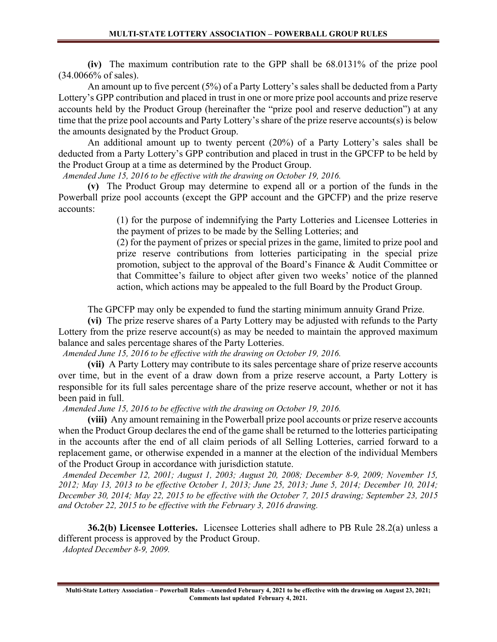(iv) The maximum contribution rate to the GPP shall be 68.0131% of the prize pool (34.0066% of sales).

An amount up to five percent (5%) of a Party Lottery's sales shall be deducted from a Party Lottery's GPP contribution and placed in trust in one or more prize pool accounts and prize reserve accounts held by the Product Group (hereinafter the "prize pool and reserve deduction") at any time that the prize pool accounts and Party Lottery's share of the prize reserve accounts(s) is below the amounts designated by the Product Group.

An additional amount up to twenty percent (20%) of a Party Lottery's sales shall be deducted from a Party Lottery's GPP contribution and placed in trust in the GPCFP to be held by the Product Group at a time as determined by the Product Group.

Amended June 15, 2016 to be effective with the drawing on October 19, 2016.

(v) The Product Group may determine to expend all or a portion of the funds in the Powerball prize pool accounts (except the GPP account and the GPCFP) and the prize reserve accounts:

> (1) for the purpose of indemnifying the Party Lotteries and Licensee Lotteries in the payment of prizes to be made by the Selling Lotteries; and

> (2) for the payment of prizes or special prizes in the game, limited to prize pool and prize reserve contributions from lotteries participating in the special prize promotion, subject to the approval of the Board's Finance & Audit Committee or that Committee's failure to object after given two weeks' notice of the planned action, which actions may be appealed to the full Board by the Product Group.

The GPCFP may only be expended to fund the starting minimum annuity Grand Prize.

(vi) The prize reserve shares of a Party Lottery may be adjusted with refunds to the Party Lottery from the prize reserve account(s) as may be needed to maintain the approved maximum balance and sales percentage shares of the Party Lotteries.

Amended June 15, 2016 to be effective with the drawing on October 19, 2016.

(vii) A Party Lottery may contribute to its sales percentage share of prize reserve accounts over time, but in the event of a draw down from a prize reserve account, a Party Lottery is responsible for its full sales percentage share of the prize reserve account, whether or not it has been paid in full.

Amended June 15, 2016 to be effective with the drawing on October 19, 2016.

(viii) Any amount remaining in the Powerball prize pool accounts or prize reserve accounts when the Product Group declares the end of the game shall be returned to the lotteries participating in the accounts after the end of all claim periods of all Selling Lotteries, carried forward to a replacement game, or otherwise expended in a manner at the election of the individual Members of the Product Group in accordance with jurisdiction statute.

 Amended December 12, 2001; August 1, 2003; August 20, 2008; December 8-9, 2009; November 15, 2012; May 13, 2013 to be effective October 1, 2013; June 25, 2013; June 5, 2014; December 10, 2014; December 30, 2014; May 22, 2015 to be effective with the October 7, 2015 drawing; September 23, 2015 and October 22, 2015 to be effective with the February 3, 2016 drawing.

36.2(b) Licensee Lotteries. Licensee Lotteries shall adhere to PB Rule 28.2(a) unless a different process is approved by the Product Group.

Adopted December 8-9, 2009.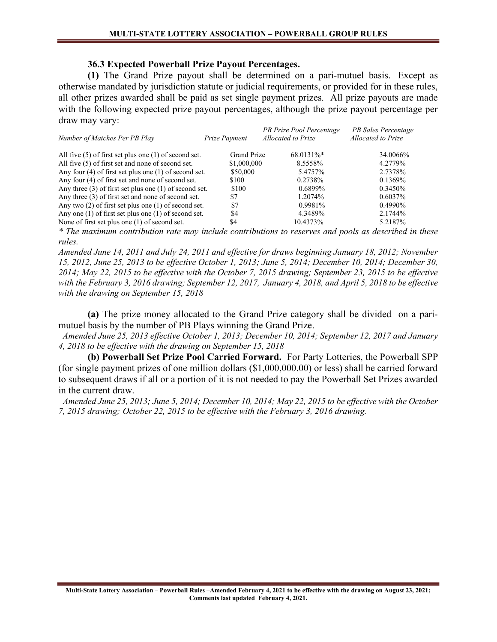#### 36.3 Expected Powerball Prize Payout Percentages.

(1) The Grand Prize payout shall be determined on a pari-mutuel basis. Except as otherwise mandated by jurisdiction statute or judicial requirements, or provided for in these rules, all other prizes awarded shall be paid as set single payment prizes. All prize payouts are made with the following expected prize payout percentages, although the prize payout percentage per draw may vary:

| Number of Matches Per PB Play                              | Prize Payment      | PB Prize Pool Percentage<br>Allocated to Prize | PB Sales Percentage<br><b>Allocated to Prize</b> |
|------------------------------------------------------------|--------------------|------------------------------------------------|--------------------------------------------------|
| All five $(5)$ of first set plus one $(1)$ of second set.  | <b>Grand Prize</b> | 68.0131%*                                      | 34.0066%                                         |
| All five (5) of first set and none of second set.          | \$1,000,000        | 8.5558%                                        | 4.2779%                                          |
| Any four $(4)$ of first set plus one $(1)$ of second set.  | \$50,000           | 5.4757%                                        | 2.7378%                                          |
| Any four (4) of first set and none of second set.          | \$100              | 0.2738%                                        | $0.1369\%$                                       |
| Any three $(3)$ of first set plus one $(1)$ of second set. | \$100              | 0.6899%                                        | 0.3450%                                          |
| Any three $(3)$ of first set and none of second set.       | \$7                | 1.2074\%                                       | $0.6037\%$                                       |
| Any two $(2)$ of first set plus one $(1)$ of second set.   | \$7                | 0.9981%                                        | $0.4990\%$                                       |
| Any one $(1)$ of first set plus one $(1)$ of second set.   | \$4                | 4.3489%                                        | 2.1744%                                          |
| None of first set plus one (1) of second set.              | \$4                | 10.4373%                                       | 5.2187%                                          |

\* The maximum contribution rate may include contributions to reserves and pools as described in these rules.

Amended June 14, 2011 and July 24, 2011 and effective for draws beginning January 18, 2012; November 15, 2012, June 25, 2013 to be effective October 1, 2013; June 5, 2014; December 10, 2014; December 30, 2014; May 22, 2015 to be effective with the October 7, 2015 drawing; September 23, 2015 to be effective with the February 3, 2016 drawing; September 12, 2017, January 4, 2018, and April 5, 2018 to be effective with the drawing on September 15, 2018

(a) The prize money allocated to the Grand Prize category shall be divided on a parimutuel basis by the number of PB Plays winning the Grand Prize.

 Amended June 25, 2013 effective October 1, 2013; December 10, 2014; September 12, 2017 and January 4, 2018 to be effective with the drawing on September 15, 2018

(b) Powerball Set Prize Pool Carried Forward. For Party Lotteries, the Powerball SPP (for single payment prizes of one million dollars (\$1,000,000.00) or less) shall be carried forward to subsequent draws if all or a portion of it is not needed to pay the Powerball Set Prizes awarded in the current draw.

 Amended June 25, 2013; June 5, 2014; December 10, 2014; May 22, 2015 to be effective with the October 7, 2015 drawing; October 22, 2015 to be effective with the February 3, 2016 drawing.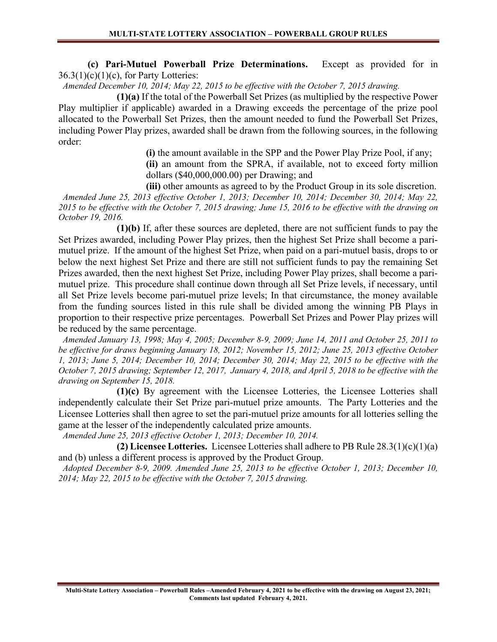(c) Pari-Mutuel Powerball Prize Determinations. Except as provided for in  $36.3(1)(c)(1)(c)$ , for Party Lotteries:

Amended December 10, 2014; May 22, 2015 to be effective with the October 7, 2015 drawing.

 (1)(a) If the total of the Powerball Set Prizes (as multiplied by the respective Power Play multiplier if applicable) awarded in a Drawing exceeds the percentage of the prize pool allocated to the Powerball Set Prizes, then the amount needed to fund the Powerball Set Prizes, including Power Play prizes, awarded shall be drawn from the following sources, in the following order:

> (i) the amount available in the SPP and the Power Play Prize Pool, if any; (ii) an amount from the SPRA, if available, not to exceed forty million dollars (\$40,000,000.00) per Drawing; and

(iii) other amounts as agreed to by the Product Group in its sole discretion. Amended June 25, 2013 effective October 1, 2013; December 10, 2014; December 30, 2014; May 22, 2015 to be effective with the October 7, 2015 drawing; June 15, 2016 to be effective with the drawing on October 19, 2016.

 (1)(b) If, after these sources are depleted, there are not sufficient funds to pay the Set Prizes awarded, including Power Play prizes, then the highest Set Prize shall become a parimutuel prize. If the amount of the highest Set Prize, when paid on a pari-mutuel basis, drops to or below the next highest Set Prize and there are still not sufficient funds to pay the remaining Set Prizes awarded, then the next highest Set Prize, including Power Play prizes, shall become a parimutuel prize. This procedure shall continue down through all Set Prize levels, if necessary, until all Set Prize levels become pari-mutuel prize levels; In that circumstance, the money available from the funding sources listed in this rule shall be divided among the winning PB Plays in proportion to their respective prize percentages. Powerball Set Prizes and Power Play prizes will be reduced by the same percentage.

 Amended January 13, 1998; May 4, 2005; December 8-9, 2009; June 14, 2011 and October 25, 2011 to be effective for draws beginning January 18, 2012; November 15, 2012; June 25, 2013 effective October 1, 2013; June 5, 2014; December 10, 2014; December 30, 2014; May 22, 2015 to be effective with the October 7, 2015 drawing; September 12, 2017, January 4, 2018, and April 5, 2018 to be effective with the drawing on September 15, 2018.

 (1)(c) By agreement with the Licensee Lotteries, the Licensee Lotteries shall independently calculate their Set Prize pari-mutuel prize amounts. The Party Lotteries and the Licensee Lotteries shall then agree to set the pari-mutuel prize amounts for all lotteries selling the game at the lesser of the independently calculated prize amounts.

Amended June 25, 2013 effective October 1, 2013; December 10, 2014.

(2) Licensee Lotteries. Licensee Lotteries shall adhere to PB Rule  $28.3(1)(c)(1)(a)$ and (b) unless a different process is approved by the Product Group.

 Adopted December 8-9, 2009. Amended June 25, 2013 to be effective October 1, 2013; December 10, 2014; May 22, 2015 to be effective with the October 7, 2015 drawing.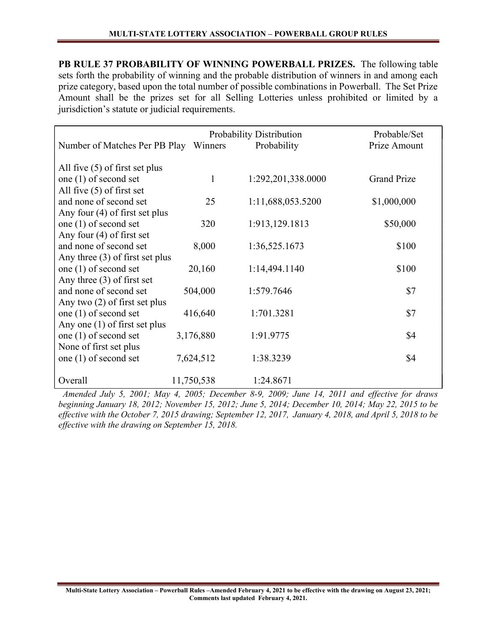PB RULE 37 PROBABILITY OF WINNING POWERBALL PRIZES. The following table sets forth the probability of winning and the probable distribution of winners in and among each prize category, based upon the total number of possible combinations in Powerball. The Set Prize Amount shall be the prizes set for all Selling Lotteries unless prohibited or limited by a jurisdiction's statute or judicial requirements.

|                                   |            | Probability Distribution | Probable/Set       |
|-----------------------------------|------------|--------------------------|--------------------|
| Number of Matches Per PB Play     | Winners    | Probability              | Prize Amount       |
|                                   |            |                          |                    |
| All five $(5)$ of first set plus  |            |                          |                    |
| one (1) of second set             | 1          | 1:292,201,338.0000       | <b>Grand Prize</b> |
| All five $(5)$ of first set       |            |                          |                    |
| and none of second set            | 25         | 1:11,688,053.5200        | \$1,000,000        |
| Any four $(4)$ of first set plus  |            |                          |                    |
| one (1) of second set             | 320        | 1:913,129.1813           | \$50,000           |
| Any four $(4)$ of first set       |            |                          |                    |
| and none of second set            | 8,000      | 1:36,525.1673            | \$100              |
| Any three $(3)$ of first set plus |            |                          |                    |
| one $(1)$ of second set           | 20,160     | 1:14,494.1140            | \$100              |
| Any three $(3)$ of first set      |            |                          |                    |
| and none of second set            | 504,000    | 1:579.7646               | \$7                |
| Any two $(2)$ of first set plus   |            |                          |                    |
| one (1) of second set             | 416,640    | 1:701.3281               | \$7                |
| Any one $(1)$ of first set plus   |            |                          |                    |
| one (1) of second set             | 3,176,880  | 1:91.9775                | \$4                |
| None of first set plus            |            |                          |                    |
| one $(1)$ of second set           | 7,624,512  | 1:38.3239                | \$4                |
|                                   |            |                          |                    |
| Overall                           | 11,750,538 | 1:24.8671                |                    |

 Amended July 5, 2001; May 4, 2005; December 8-9, 2009; June 14, 2011 and effective for draws beginning January 18, 2012; November 15, 2012; June 5, 2014; December 10, 2014; May 22, 2015 to be effective with the October 7, 2015 drawing; September 12, 2017, January 4, 2018, and April 5, 2018 to be effective with the drawing on September 15, 2018.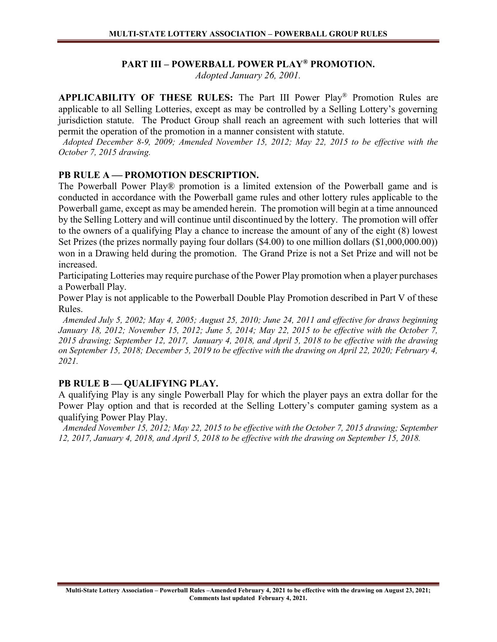# PART III – POWERBALL POWER PLAY® PROMOTION.

Adopted January 26, 2001.

APPLICABILITY OF THESE RULES: The Part III Power Play® Promotion Rules are applicable to all Selling Lotteries, except as may be controlled by a Selling Lottery's governing jurisdiction statute. The Product Group shall reach an agreement with such lotteries that will permit the operation of the promotion in a manner consistent with statute.

 Adopted December 8-9, 2009; Amended November 15, 2012; May 22, 2015 to be effective with the October 7, 2015 drawing.

#### PB RULE A - PROMOTION DESCRIPTION.

The Powerball Power Play® promotion is a limited extension of the Powerball game and is conducted in accordance with the Powerball game rules and other lottery rules applicable to the Powerball game, except as may be amended herein. The promotion will begin at a time announced by the Selling Lottery and will continue until discontinued by the lottery. The promotion will offer to the owners of a qualifying Play a chance to increase the amount of any of the eight (8) lowest Set Prizes (the prizes normally paying four dollars (\$4.00) to one million dollars (\$1,000,000.00)) won in a Drawing held during the promotion. The Grand Prize is not a Set Prize and will not be increased.

Participating Lotteries may require purchase of the Power Play promotion when a player purchases a Powerball Play.

Power Play is not applicable to the Powerball Double Play Promotion described in Part V of these Rules.

 Amended July 5, 2002; May 4, 2005; August 25, 2010; June 24, 2011 and effective for draws beginning January 18, 2012; November 15, 2012; June 5, 2014; May 22, 2015 to be effective with the October 7, 2015 drawing; September 12, 2017, January 4, 2018, and April 5, 2018 to be effective with the drawing on September 15, 2018; December 5, 2019 to be effective with the drawing on April 22, 2020; February 4, 2021.

# PB RULE B - QUALIFYING PLAY.

A qualifying Play is any single Powerball Play for which the player pays an extra dollar for the Power Play option and that is recorded at the Selling Lottery's computer gaming system as a qualifying Power Play Play.

 Amended November 15, 2012; May 22, 2015 to be effective with the October 7, 2015 drawing; September 12, 2017, January 4, 2018, and April 5, 2018 to be effective with the drawing on September 15, 2018.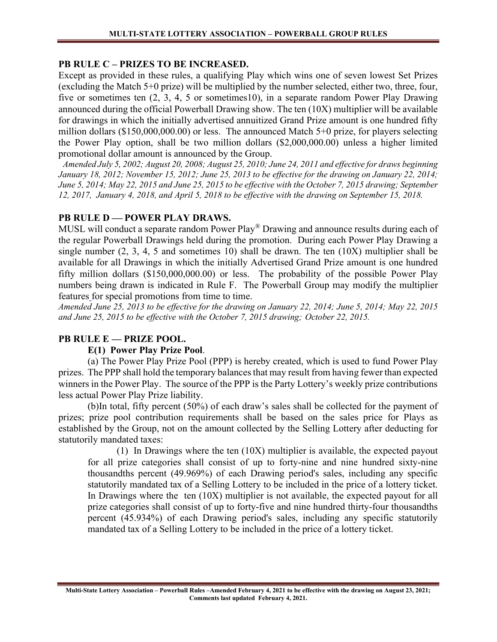## PB RULE C – PRIZES TO BE INCREASED.

Except as provided in these rules, a qualifying Play which wins one of seven lowest Set Prizes (excluding the Match 5+0 prize) will be multiplied by the number selected, either two, three, four, five or sometimes ten (2, 3, 4, 5 or sometimes10), in a separate random Power Play Drawing announced during the official Powerball Drawing show. The ten (10X) multiplier will be available for drawings in which the initially advertised annuitized Grand Prize amount is one hundred fifty million dollars (\$150,000,000.00) or less. The announced Match 5+0 prize, for players selecting the Power Play option, shall be two million dollars (\$2,000,000.00) unless a higher limited promotional dollar amount is announced by the Group.

 Amended July 5, 2002; August 20, 2008; August 25, 2010; June 24, 2011 and effective for draws beginning January 18, 2012; November 15, 2012; June 25, 2013 to be effective for the drawing on January 22, 2014; June 5, 2014; May 22, 2015 and June 25, 2015 to be effective with the October 7, 2015 drawing; September 12, 2017, January 4, 2018, and April 5, 2018 to be effective with the drawing on September 15, 2018.

#### PB RULE D - POWER PLAY DRAWS.

MUSL will conduct a separate random Power Play® Drawing and announce results during each of the regular Powerball Drawings held during the promotion. During each Power Play Drawing a single number  $(2, 3, 4, 5, 5)$  and sometimes 10) shall be drawn. The ten  $(10X)$  multiplier shall be available for all Drawings in which the initially Advertised Grand Prize amount is one hundred fifty million dollars (\$150,000,000.00) or less. The probability of the possible Power Play numbers being drawn is indicated in Rule F. The Powerball Group may modify the multiplier features for special promotions from time to time.

Amended June 25, 2013 to be effective for the drawing on January 22, 2014; June 5, 2014; May 22, 2015 and June 25, 2015 to be effective with the October 7, 2015 drawing; October 22, 2015.

# PB RULE E - PRIZE POOL.

# E(1) Power Play Prize Pool.

(a) The Power Play Prize Pool (PPP) is hereby created, which is used to fund Power Play prizes. The PPP shall hold the temporary balances that may result from having fewer than expected winners in the Power Play. The source of the PPP is the Party Lottery's weekly prize contributions less actual Power Play Prize liability.

(b)In total, fifty percent (50%) of each draw's sales shall be collected for the payment of prizes; prize pool contribution requirements shall be based on the sales price for Plays as established by the Group, not on the amount collected by the Selling Lottery after deducting for statutorily mandated taxes:

(1) In Drawings where the ten (10X) multiplier is available, the expected payout for all prize categories shall consist of up to forty-nine and nine hundred sixty-nine thousandths percent (49.969%) of each Drawing period's sales, including any specific statutorily mandated tax of a Selling Lottery to be included in the price of a lottery ticket. In Drawings where the ten  $(10X)$  multiplier is not available, the expected payout for all prize categories shall consist of up to forty-five and nine hundred thirty-four thousandths percent (45.934%) of each Drawing period's sales, including any specific statutorily mandated tax of a Selling Lottery to be included in the price of a lottery ticket.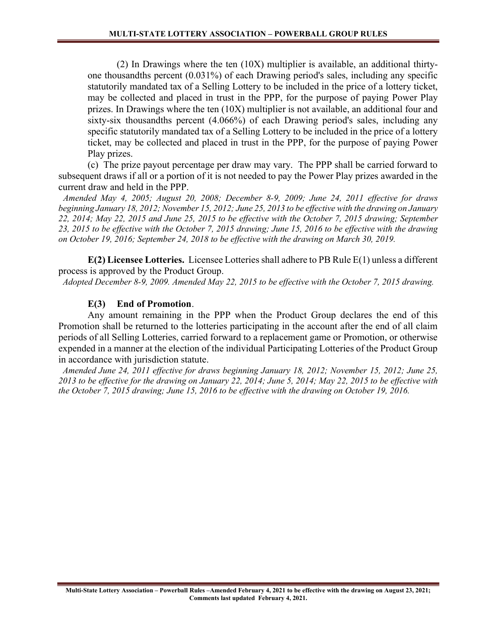(2) In Drawings where the ten (10X) multiplier is available, an additional thirtyone thousandths percent (0.031%) of each Drawing period's sales, including any specific statutorily mandated tax of a Selling Lottery to be included in the price of a lottery ticket, may be collected and placed in trust in the PPP, for the purpose of paying Power Play prizes. In Drawings where the ten (10X) multiplier is not available, an additional four and sixty-six thousandths percent (4.066%) of each Drawing period's sales, including any specific statutorily mandated tax of a Selling Lottery to be included in the price of a lottery ticket, may be collected and placed in trust in the PPP, for the purpose of paying Power Play prizes.

(c) The prize payout percentage per draw may vary. The PPP shall be carried forward to subsequent draws if all or a portion of it is not needed to pay the Power Play prizes awarded in the current draw and held in the PPP.

 Amended May 4, 2005; August 20, 2008; December 8-9, 2009; June 24, 2011 effective for draws beginning January 18, 2012; November 15, 2012; June 25, 2013 to be effective with the drawing on January 22, 2014; May 22, 2015 and June 25, 2015 to be effective with the October 7, 2015 drawing; September 23, 2015 to be effective with the October 7, 2015 drawing; June 15, 2016 to be effective with the drawing on October 19, 2016; September 24, 2018 to be effective with the drawing on March 30, 2019.

 $E(2)$  Licensee Lotteries. Licensee Lotteries shall adhere to PB Rule  $E(1)$  unless a different process is approved by the Product Group.

Adopted December 8-9, 2009. Amended May 22, 2015 to be effective with the October 7, 2015 drawing.

#### E(3) End of Promotion.

Any amount remaining in the PPP when the Product Group declares the end of this Promotion shall be returned to the lotteries participating in the account after the end of all claim periods of all Selling Lotteries, carried forward to a replacement game or Promotion, or otherwise expended in a manner at the election of the individual Participating Lotteries of the Product Group in accordance with jurisdiction statute.

 Amended June 24, 2011 effective for draws beginning January 18, 2012; November 15, 2012; June 25, 2013 to be effective for the drawing on January 22, 2014; June 5, 2014; May 22, 2015 to be effective with the October 7, 2015 drawing; June 15, 2016 to be effective with the drawing on October 19, 2016.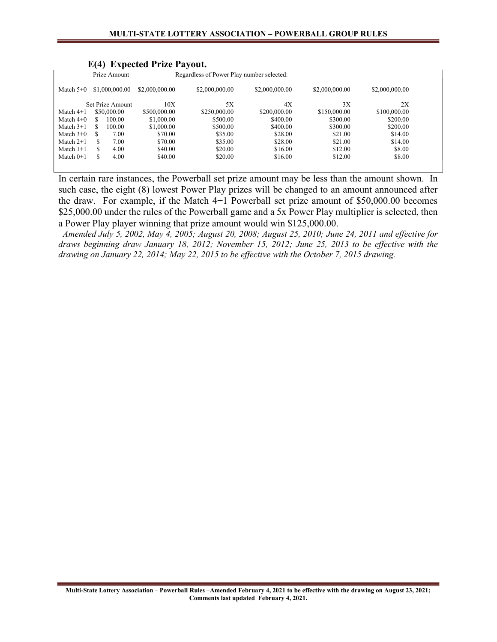|             | - - - -          | $\mathbf{L}$ $\mathbf{L}$ $\mathbf{V}$ $\mathbf{V}$ $\mathbf{V}$ $\mathbf{V}$ $\mathbf{V}$ $\mathbf{V}$ $\mathbf{V}$ $\mathbf{V}$ $\mathbf{V}$ $\mathbf{V}$ $\mathbf{V}$ $\mathbf{V}$ $\mathbf{V}$ $\mathbf{V}$ $\mathbf{V}$ $\mathbf{V}$ $\mathbf{V}$ $\mathbf{V}$ $\mathbf{V}$ $\mathbf{V}$ $\mathbf{V}$ $\mathbf{V}$ $\mathbf{$ |                                           |                |                |                |  |
|-------------|------------------|------------------------------------------------------------------------------------------------------------------------------------------------------------------------------------------------------------------------------------------------------------------------------------------------------------------------------------|-------------------------------------------|----------------|----------------|----------------|--|
|             | Prize Amount     |                                                                                                                                                                                                                                                                                                                                    | Regardless of Power Play number selected: |                |                |                |  |
| Match $5+0$ | \$1,000,000.00   | \$2,000,000.00                                                                                                                                                                                                                                                                                                                     | \$2,000,000.00                            | \$2,000,000.00 | \$2,000,000.00 | \$2,000,000.00 |  |
|             | Set Prize Amount | 10X                                                                                                                                                                                                                                                                                                                                | 5X                                        | 4X             | 3X             | 2X             |  |
| Match $4+1$ | \$50,000.00      | \$500,000.00                                                                                                                                                                                                                                                                                                                       | \$250,000.00                              | \$200,000.00   | \$150,000.00   | \$100,000.00   |  |
| Match $4+0$ | 100.00<br>S      | \$1,000.00                                                                                                                                                                                                                                                                                                                         | \$500.00                                  | \$400.00       | \$300.00       | \$200.00       |  |
| Match $3+1$ | \$<br>100.00     | \$1,000.00                                                                                                                                                                                                                                                                                                                         | \$500.00                                  | \$400.00       | \$300.00       | \$200.00       |  |
| Match $3+0$ | 7.00<br>S        | \$70.00                                                                                                                                                                                                                                                                                                                            | \$35.00                                   | \$28.00        | \$21.00        | \$14.00        |  |
| Match $2+1$ | S<br>7.00        | \$70.00                                                                                                                                                                                                                                                                                                                            | \$35.00                                   | \$28.00        | \$21.00        | \$14.00        |  |
| Match $1+1$ | S<br>4.00        | \$40.00                                                                                                                                                                                                                                                                                                                            | \$20.00                                   | \$16.00        | \$12.00        | \$8.00         |  |
| Match $0+1$ | \$<br>4.00       | \$40.00                                                                                                                                                                                                                                                                                                                            | \$20.00                                   | \$16.00        | \$12.00        | \$8.00         |  |
|             |                  |                                                                                                                                                                                                                                                                                                                                    |                                           |                |                |                |  |
|             |                  |                                                                                                                                                                                                                                                                                                                                    |                                           |                |                |                |  |

#### E(4) Expected Prize Payout.

In certain rare instances, the Powerball set prize amount may be less than the amount shown. In such case, the eight (8) lowest Power Play prizes will be changed to an amount announced after the draw. For example, if the Match 4+1 Powerball set prize amount of \$50,000.00 becomes \$25,000.00 under the rules of the Powerball game and a 5x Power Play multiplier is selected, then a Power Play player winning that prize amount would win \$125,000.00.

 Amended July 5, 2002, May 4, 2005; August 20, 2008; August 25, 2010; June 24, 2011 and effective for draws beginning draw January 18, 2012; November 15, 2012; June 25, 2013 to be effective with the drawing on January 22, 2014; May 22, 2015 to be effective with the October 7, 2015 drawing.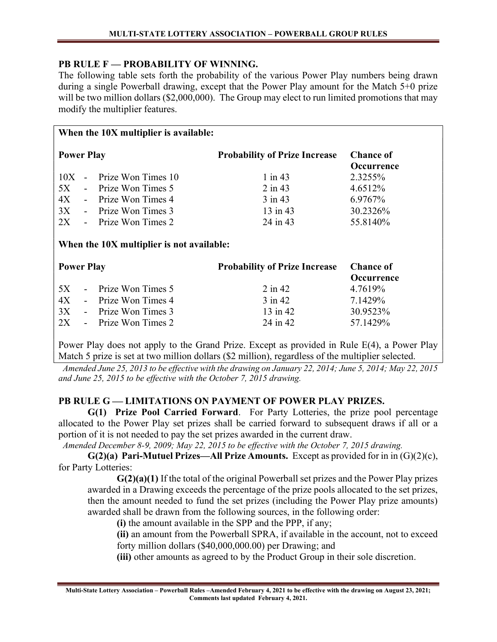# PB RULE F — PROBABILITY OF WINNING.

The following table sets forth the probability of the various Power Play numbers being drawn during a single Powerball drawing, except that the Power Play amount for the Match 5+0 prize will be two million dollars (\$2,000,000). The Group may elect to run limited promotions that may modify the multiplier features.

| When the 10X multiplier is available:     |                                      |                                       |  |  |  |  |
|-------------------------------------------|--------------------------------------|---------------------------------------|--|--|--|--|
| <b>Power Play</b>                         | <b>Probability of Prize Increase</b> | <b>Chance of</b><br><b>Occurrence</b> |  |  |  |  |
| Prize Won Times 10<br>$10X -$             | $1$ in 43                            | 2.3255%                               |  |  |  |  |
| 5X<br>- Prize Won Times 5                 | $2$ in 43                            | 4.6512\%                              |  |  |  |  |
| 4X<br>- Prize Won Times 4                 | $3$ in 43                            | 6.9767%                               |  |  |  |  |
| 3X<br>- Prize Won Times 3                 | 13 in 43                             | 30.2326%                              |  |  |  |  |
| 2X<br>Prize Won Times 2<br>$\sim$         | 24 in 43                             | 55.8140%                              |  |  |  |  |
| When the 10X multiplier is not available: |                                      |                                       |  |  |  |  |
| <b>Power Play</b>                         | <b>Probability of Prize Increase</b> | <b>Chance of</b><br><b>Occurrence</b> |  |  |  |  |
| Prize Won Times 5<br>5X                   | $2$ in 42                            | 4.7619%                               |  |  |  |  |
| 4X<br>- Prize Won Times 4                 | $3$ in 42                            | 7.1429%                               |  |  |  |  |
| 3X<br>- Prize Won Times 3                 | $13$ in $42$                         | 30.9523%                              |  |  |  |  |
| 2X<br>Prize Won Times 2<br>$\sim$         | 24 in 42                             | 57.1429%                              |  |  |  |  |

Power Play does not apply to the Grand Prize. Except as provided in Rule E(4), a Power Play Match 5 prize is set at two million dollars (\$2 million), regardless of the multiplier selected.

 Amended June 25, 2013 to be effective with the drawing on January 22, 2014; June 5, 2014; May 22, 2015 and June 25, 2015 to be effective with the October 7, 2015 drawing.

# PB RULE G— LIMITATIONS ON PAYMENT OF POWER PLAY PRIZES.

 G(1) Prize Pool Carried Forward. For Party Lotteries, the prize pool percentage allocated to the Power Play set prizes shall be carried forward to subsequent draws if all or a portion of it is not needed to pay the set prizes awarded in the current draw.

Amended December 8-9, 2009; May 22, 2015 to be effective with the October 7, 2015 drawing.

 $G(2)(a)$  Pari-Mutuel Prizes—All Prize Amounts. Except as provided for in in  $(G)(2)(c)$ , for Party Lotteries:

 $G(2)(a)(1)$  If the total of the original Powerball set prizes and the Power Play prizes awarded in a Drawing exceeds the percentage of the prize pools allocated to the set prizes, then the amount needed to fund the set prizes (including the Power Play prize amounts) awarded shall be drawn from the following sources, in the following order:

(i) the amount available in the SPP and the PPP, if any;

(ii) an amount from the Powerball SPRA, if available in the account, not to exceed forty million dollars (\$40,000,000.00) per Drawing; and

(iii) other amounts as agreed to by the Product Group in their sole discretion.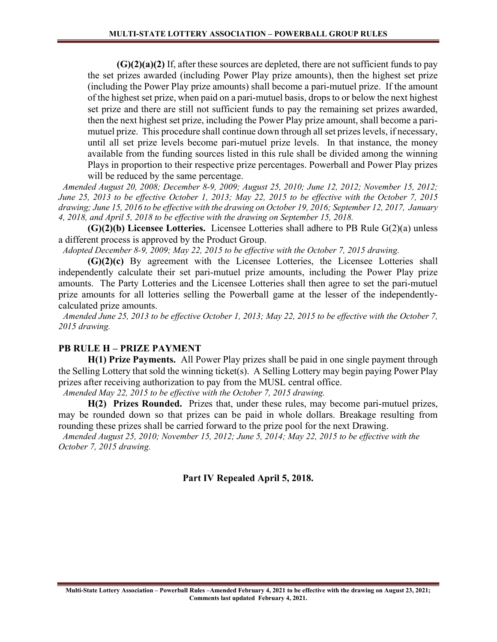$(G)(2)(a)(2)$  If, after these sources are depleted, there are not sufficient funds to pay the set prizes awarded (including Power Play prize amounts), then the highest set prize (including the Power Play prize amounts) shall become a pari-mutuel prize. If the amount of the highest set prize, when paid on a pari-mutuel basis, drops to or below the next highest set prize and there are still not sufficient funds to pay the remaining set prizes awarded, then the next highest set prize, including the Power Play prize amount, shall become a parimutuel prize. This procedure shall continue down through all set prizes levels, if necessary, until all set prize levels become pari-mutuel prize levels. In that instance, the money available from the funding sources listed in this rule shall be divided among the winning Plays in proportion to their respective prize percentages. Powerball and Power Play prizes will be reduced by the same percentage.

 Amended August 20, 2008; December 8-9, 2009; August 25, 2010; June 12, 2012; November 15, 2012; June 25, 2013 to be effective October 1, 2013; May 22, 2015 to be effective with the October 7, 2015 drawing; June 15, 2016 to be effective with the drawing on October 19, 2016; September 12, 2017, January 4, 2018, and April 5, 2018 to be effective with the drawing on September 15, 2018.

 $(G)(2)(b)$  Licensee Lotteries. Licensee Lotteries shall adhere to PB Rule  $G(2)(a)$  unless a different process is approved by the Product Group.

Adopted December 8-9, 2009; May 22, 2015 to be effective with the October 7, 2015 drawing.

(G)(2)(c) By agreement with the Licensee Lotteries, the Licensee Lotteries shall independently calculate their set pari-mutuel prize amounts, including the Power Play prize amounts. The Party Lotteries and the Licensee Lotteries shall then agree to set the pari-mutuel prize amounts for all lotteries selling the Powerball game at the lesser of the independentlycalculated prize amounts.

 Amended June 25, 2013 to be effective October 1, 2013; May 22, 2015 to be effective with the October 7, 2015 drawing.

#### PB RULE H – PRIZE PAYMENT

 H(1) Prize Payments. All Power Play prizes shall be paid in one single payment through the Selling Lottery that sold the winning ticket(s). A Selling Lottery may begin paying Power Play prizes after receiving authorization to pay from the MUSL central office.

Amended May 22, 2015 to be effective with the October 7, 2015 drawing.

H(2) Prizes Rounded. Prizes that, under these rules, may become pari-mutuel prizes, may be rounded down so that prizes can be paid in whole dollars. Breakage resulting from rounding these prizes shall be carried forward to the prize pool for the next Drawing.

 Amended August 25, 2010; November 15, 2012; June 5, 2014; May 22, 2015 to be effective with the October 7, 2015 drawing.

# Part IV Repealed April 5, 2018.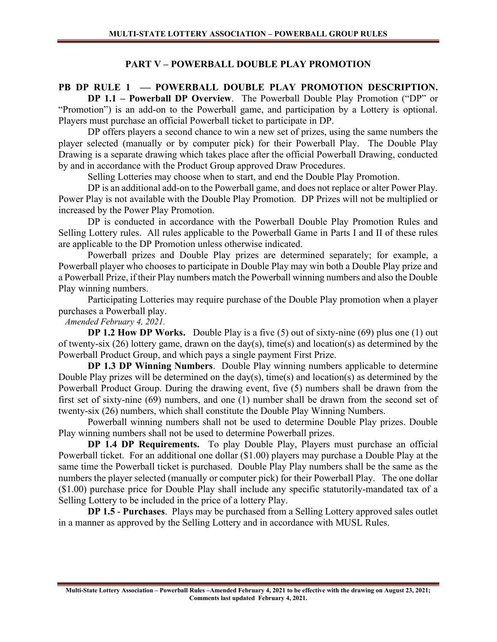# PART V – POWERBALL DOUBLE PLAY PROMOTION

# PB DP RULE 1 - POWERBALL DOUBLE PLAY PROMOTION DESCRIPTION.

DP 1.1 – Powerball DP Overview. The Powerball Double Play Promotion ("DP" or "Promotion") is an add-on to the Powerball game, and participation by a Lottery is optional. Players must purchase an official Powerball ticket to participate in DP.

 DP offers players a second chance to win a new set of prizes, using the same numbers the player selected (manually or by computer pick) for their Powerball Play. The Double Play Drawing is a separate drawing which takes place after the official Powerball Drawing, conducted by and in accordance with the Product Group approved Draw Procedures.

Selling Lotteries may choose when to start, and end the Double Play Promotion.

DP is an additional add-on to the Powerball game, and does not replace or alter Power Play. Power Play is not available with the Double Play Promotion. DP Prizes will not be multiplied or increased by the Power Play Promotion.

 DP is conducted in accordance with the Powerball Double Play Promotion Rules and Selling Lottery rules. All rules applicable to the Powerball Game in Parts I and II of these rules are applicable to the DP Promotion unless otherwise indicated.

 Powerball prizes and Double Play prizes are determined separately; for example, a Powerball player who chooses to participate in Double Play may win both a Double Play prize and a Powerball Prize, if their Play numbers match the Powerball winning numbers and also the Double Play winning numbers.

 Participating Lotteries may require purchase of the Double Play promotion when a player purchases a Powerball play.

Amended February 4, 2021.

DP 1.2 How DP Works. Double Play is a five (5) out of sixty-nine (69) plus one (1) out of twenty-six (26) lottery game, drawn on the day(s), time(s) and location(s) as determined by the Powerball Product Group, and which pays a single payment First Prize.

DP 1.3 DP Winning Numbers. Double Play winning numbers applicable to determine Double Play prizes will be determined on the day(s), time(s) and location(s) as determined by the Powerball Product Group. During the drawing event, five (5) numbers shall be drawn from the first set of sixty-nine (69) numbers, and one (1) number shall be drawn from the second set of twenty-six (26) numbers, which shall constitute the Double Play Winning Numbers.

Powerball winning numbers shall not be used to determine Double Play prizes. Double Play winning numbers shall not be used to determine Powerball prizes.

DP 1.4 DP Requirements. To play Double Play, Players must purchase an official Powerball ticket. For an additional one dollar (\$1.00) players may purchase a Double Play at the same time the Powerball ticket is purchased. Double Play Play numbers shall be the same as the numbers the player selected (manually or computer pick) for their Powerball Play. The one dollar (\$1.00) purchase price for Double Play shall include any specific statutorily-mandated tax of a Selling Lottery to be included in the price of a lottery Play.

DP 1.5 - Purchases. Plays may be purchased from a Selling Lottery approved sales outlet in a manner as approved by the Selling Lottery and in accordance with MUSL Rules.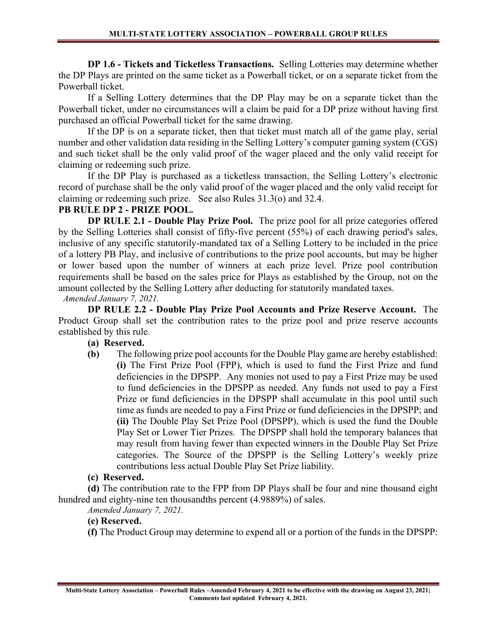DP 1.6 - Tickets and Ticketless Transactions. Selling Lotteries may determine whether the DP Plays are printed on the same ticket as a Powerball ticket, or on a separate ticket from the Powerball ticket.

 If a Selling Lottery determines that the DP Play may be on a separate ticket than the Powerball ticket, under no circumstances will a claim be paid for a DP prize without having first purchased an official Powerball ticket for the same drawing.

 If the DP is on a separate ticket, then that ticket must match all of the game play, serial number and other validation data residing in the Selling Lottery's computer gaming system (CGS) and such ticket shall be the only valid proof of the wager placed and the only valid receipt for claiming or redeeming such prize.

 If the DP Play is purchased as a ticketless transaction, the Selling Lottery's electronic record of purchase shall be the only valid proof of the wager placed and the only valid receipt for claiming or redeeming such prize. See also Rules 31.3(o) and 32.4.

# PB RULE DP 2 - PRIZE POOL.

DP RULE 2.1 - Double Play Prize Pool. The prize pool for all prize categories offered by the Selling Lotteries shall consist of fifty-five percent (55%) of each drawing period's sales, inclusive of any specific statutorily-mandated tax of a Selling Lottery to be included in the price of a lottery PB Play, and inclusive of contributions to the prize pool accounts, but may be higher or lower based upon the number of winners at each prize level. Prize pool contribution requirements shall be based on the sales price for Plays as established by the Group, not on the amount collected by the Selling Lottery after deducting for statutorily mandated taxes.

Amended January 7, 2021.

DP RULE 2.2 - Double Play Prize Pool Accounts and Prize Reserve Account. The Product Group shall set the contribution rates to the prize pool and prize reserve accounts established by this rule.

# (a) Reserved.

 (b) The following prize pool accounts for the Double Play game are hereby established: (i) The First Prize Pool (FPP), which is used to fund the First Prize and fund deficiencies in the DPSPP. Any monies not used to pay a First Prize may be used to fund deficiencies in the DPSPP as needed. Any funds not used to pay a First Prize or fund deficiencies in the DPSPP shall accumulate in this pool until such time as funds are needed to pay a First Prize or fund deficiencies in the DPSPP; and (ii) The Double Play Set Prize Pool (DPSPP), which is used the fund the Double Play Set or Lower Tier Prizes. The DPSPP shall hold the temporary balances that may result from having fewer than expected winners in the Double Play Set Prize categories. The Source of the DPSPP is the Selling Lottery's weekly prize contributions less actual Double Play Set Prize liability.

# (c) Reserved.

(d) The contribution rate to the FPP from DP Plays shall be four and nine thousand eight hundred and eighty-nine ten thousandths percent (4.9889%) of sales.

Amended January 7, 2021.

# (e) Reserved.

(f) The Product Group may determine to expend all or a portion of the funds in the DPSPP: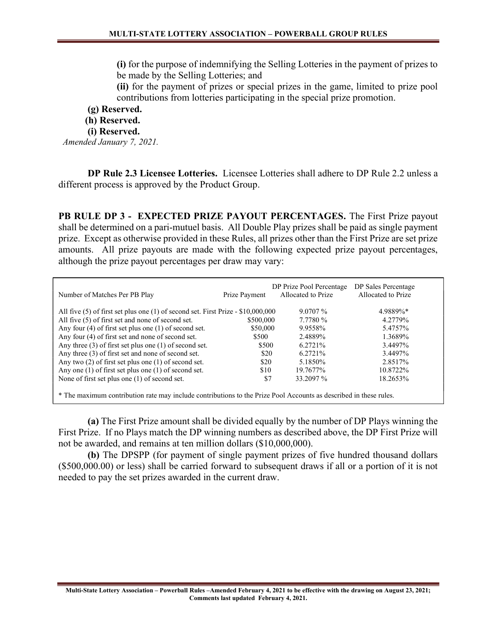(i) for the purpose of indemnifying the Selling Lotteries in the payment of prizes to be made by the Selling Lotteries; and

(ii) for the payment of prizes or special prizes in the game, limited to prize pool contributions from lotteries participating in the special prize promotion.

(g) Reserved.

(h) Reserved.

(i) Reserved.

Amended January 7, 2021.

DP Rule 2.3 Licensee Lotteries. Licensee Lotteries shall adhere to DP Rule 2.2 unless a different process is approved by the Product Group.

PB RULE DP 3 - EXPECTED PRIZE PAYOUT PERCENTAGES. The First Prize payout shall be determined on a pari-mutuel basis. All Double Play prizes shall be paid as single payment prize. Except as otherwise provided in these Rules, all prizes other than the First Prize are set prize amounts. All prize payouts are made with the following expected prize payout percentages, although the prize payout percentages per draw may vary:

| Number of Matches Per PB Play                                                                                     | Prize Payment | DP Prize Pool Percentage<br>Allocated to Prize | DP Sales Percentage<br>Allocated to Prize |
|-------------------------------------------------------------------------------------------------------------------|---------------|------------------------------------------------|-------------------------------------------|
| All five $(5)$ of first set plus one $(1)$ of second set. First Prize - \$10,000,000                              |               | $9.0707\%$                                     | 4.9889%*                                  |
| All five (5) of first set and none of second set.                                                                 | \$500,000     | 7.7780 %                                       | 4.2779%                                   |
| Any four $(4)$ of first set plus one $(1)$ of second set.                                                         | \$50,000      | 9.9558%                                        | 5.4757%                                   |
| Any four (4) of first set and none of second set.                                                                 | \$500         | 2.4889%                                        | 1.3689%                                   |
| Any three $(3)$ of first set plus one $(1)$ of second set.                                                        | \$500         | 6.2721%                                        | 3.4497%                                   |
| Any three (3) of first set and none of second set.                                                                | \$20          | 6.2721\%                                       | 3.4497%                                   |
| Any two $(2)$ of first set plus one $(1)$ of second set.                                                          | \$20          | 5.1850\%                                       | 2.8517%                                   |
| Any one $(1)$ of first set plus one $(1)$ of second set.                                                          | \$10          | 19.7677%                                       | 10.8722%                                  |
| None of first set plus one $(1)$ of second set.                                                                   | \$7           | 33.2097 %                                      | 18.2653%                                  |
| * The maximum contribution rate may include contributions to the Prize Pool Accounts as described in these rules. |               |                                                |                                           |

(a) The First Prize amount shall be divided equally by the number of DP Plays winning the First Prize. If no Plays match the DP winning numbers as described above, the DP First Prize will not be awarded, and remains at ten million dollars (\$10,000,000).

(b) The DPSPP (for payment of single payment prizes of five hundred thousand dollars (\$500,000.00) or less) shall be carried forward to subsequent draws if all or a portion of it is not needed to pay the set prizes awarded in the current draw.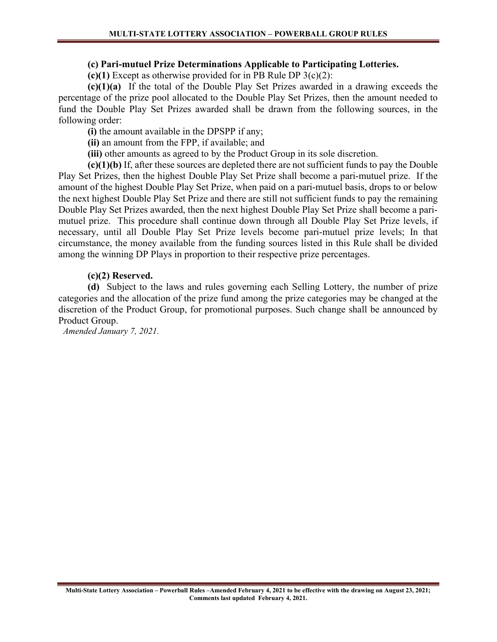#### (c) Pari-mutuel Prize Determinations Applicable to Participating Lotteries.

(c)(1) Except as otherwise provided for in PB Rule DP  $3(c)(2)$ :

(c)(1)(a) If the total of the Double Play Set Prizes awarded in a drawing exceeds the percentage of the prize pool allocated to the Double Play Set Prizes, then the amount needed to fund the Double Play Set Prizes awarded shall be drawn from the following sources, in the following order:

(i) the amount available in the DPSPP if any;

(ii) an amount from the FPP, if available; and

(iii) other amounts as agreed to by the Product Group in its sole discretion.

(c)(1)(b) If, after these sources are depleted there are not sufficient funds to pay the Double Play Set Prizes, then the highest Double Play Set Prize shall become a pari-mutuel prize. If the amount of the highest Double Play Set Prize, when paid on a pari-mutuel basis, drops to or below the next highest Double Play Set Prize and there are still not sufficient funds to pay the remaining Double Play Set Prizes awarded, then the next highest Double Play Set Prize shall become a parimutuel prize. This procedure shall continue down through all Double Play Set Prize levels, if necessary, until all Double Play Set Prize levels become pari-mutuel prize levels; In that circumstance, the money available from the funding sources listed in this Rule shall be divided among the winning DP Plays in proportion to their respective prize percentages.

#### (c)(2) Reserved.

(d) Subject to the laws and rules governing each Selling Lottery, the number of prize categories and the allocation of the prize fund among the prize categories may be changed at the discretion of the Product Group, for promotional purposes. Such change shall be announced by Product Group.

Amended January 7, 2021.